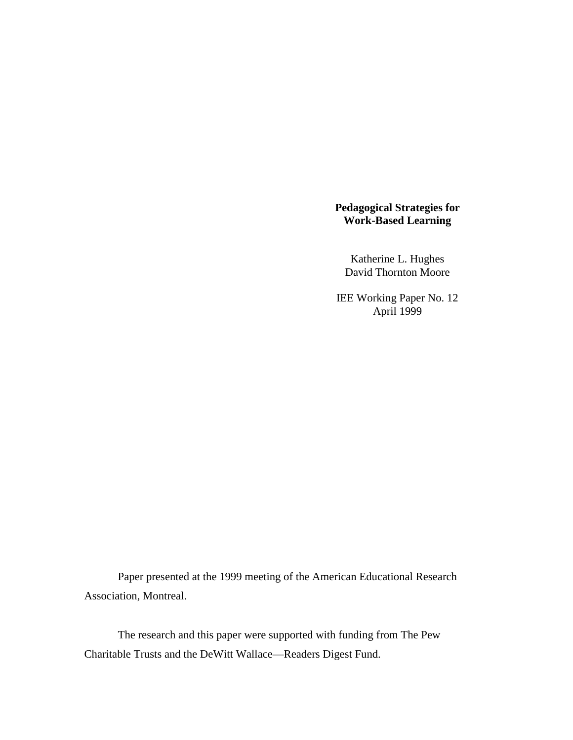# **Pedagogical Strategies for Work-Based Learning**

Katherine L. Hughes David Thornton Moore

IEE Working Paper No. 12 April 1999

Paper presented at the 1999 meeting of the American Educational Research Association, Montreal.

The research and this paper were supported with funding from The Pew Charitable Trusts and the DeWitt Wallace—Readers Digest Fund.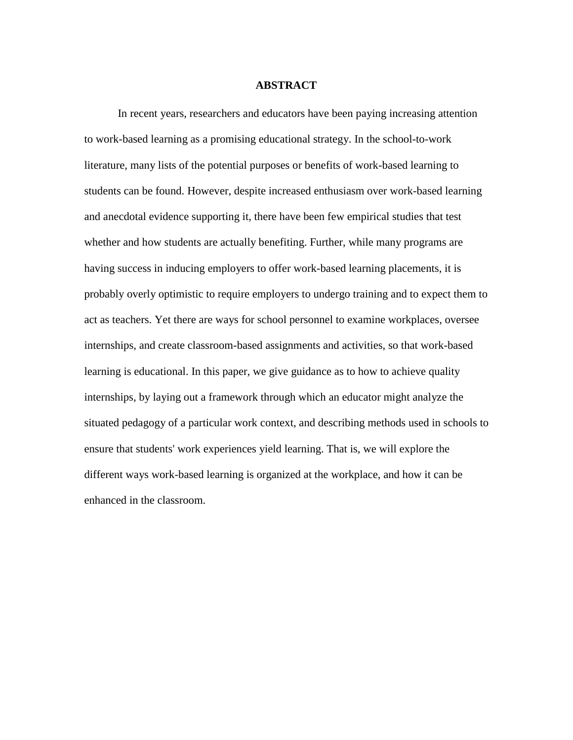# **ABSTRACT**

In recent years, researchers and educators have been paying increasing attention to work-based learning as a promising educational strategy. In the school-to-work literature, many lists of the potential purposes or benefits of work-based learning to students can be found. However, despite increased enthusiasm over work-based learning and anecdotal evidence supporting it, there have been few empirical studies that test whether and how students are actually benefiting. Further, while many programs are having success in inducing employers to offer work-based learning placements, it is probably overly optimistic to require employers to undergo training and to expect them to act as teachers. Yet there are ways for school personnel to examine workplaces, oversee internships, and create classroom-based assignments and activities, so that work-based learning is educational. In this paper, we give guidance as to how to achieve quality internships, by laying out a framework through which an educator might analyze the situated pedagogy of a particular work context, and describing methods used in schools to ensure that students' work experiences yield learning. That is, we will explore the different ways work-based learning is organized at the workplace, and how it can be enhanced in the classroom.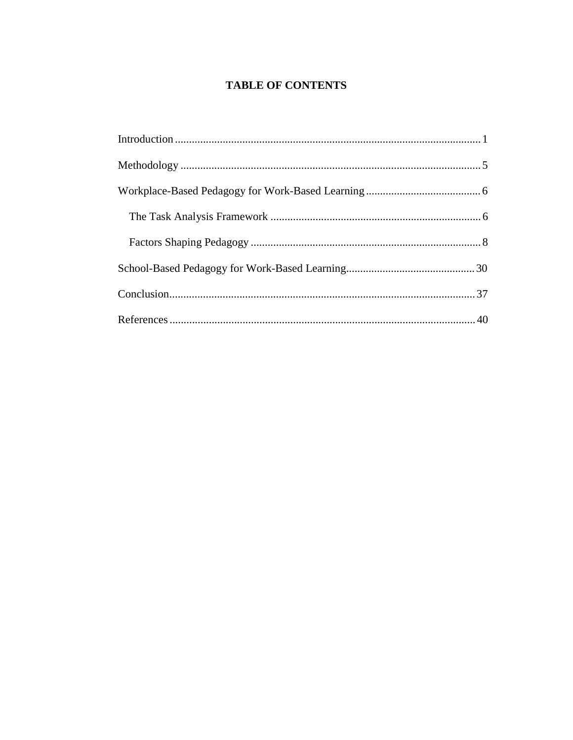# **TABLE OF CONTENTS**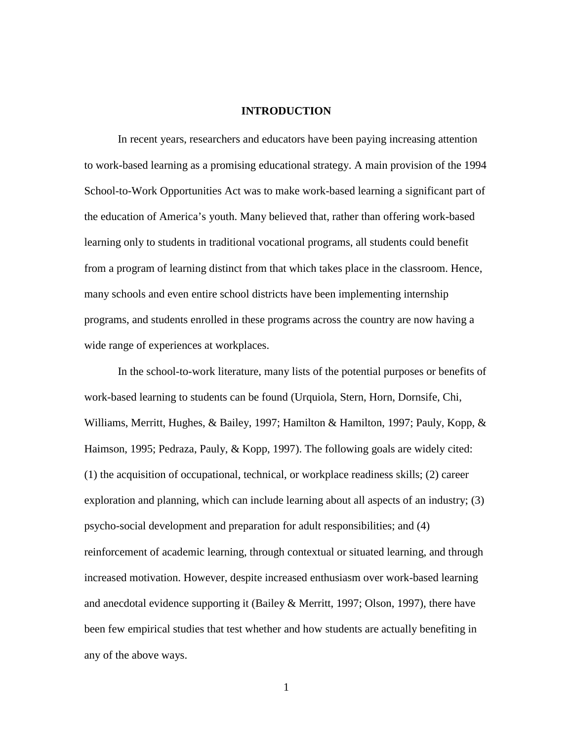#### **INTRODUCTION**

In recent years, researchers and educators have been paying increasing attention to work-based learning as a promising educational strategy. A main provision of the 1994 School-to-Work Opportunities Act was to make work-based learning a significant part of the education of America's youth. Many believed that, rather than offering work-based learning only to students in traditional vocational programs, all students could benefit from a program of learning distinct from that which takes place in the classroom. Hence, many schools and even entire school districts have been implementing internship programs, and students enrolled in these programs across the country are now having a wide range of experiences at workplaces.

In the school-to-work literature, many lists of the potential purposes or benefits of work-based learning to students can be found (Urquiola, Stern, Horn, Dornsife, Chi, Williams, Merritt, Hughes, & Bailey, 1997; Hamilton & Hamilton, 1997; Pauly, Kopp, & Haimson, 1995; Pedraza, Pauly, & Kopp, 1997). The following goals are widely cited: (1) the acquisition of occupational, technical, or workplace readiness skills; (2) career exploration and planning, which can include learning about all aspects of an industry; (3) psycho-social development and preparation for adult responsibilities; and (4) reinforcement of academic learning, through contextual or situated learning, and through increased motivation. However, despite increased enthusiasm over work-based learning and anecdotal evidence supporting it (Bailey & Merritt, 1997; Olson, 1997), there have been few empirical studies that test whether and how students are actually benefiting in any of the above ways.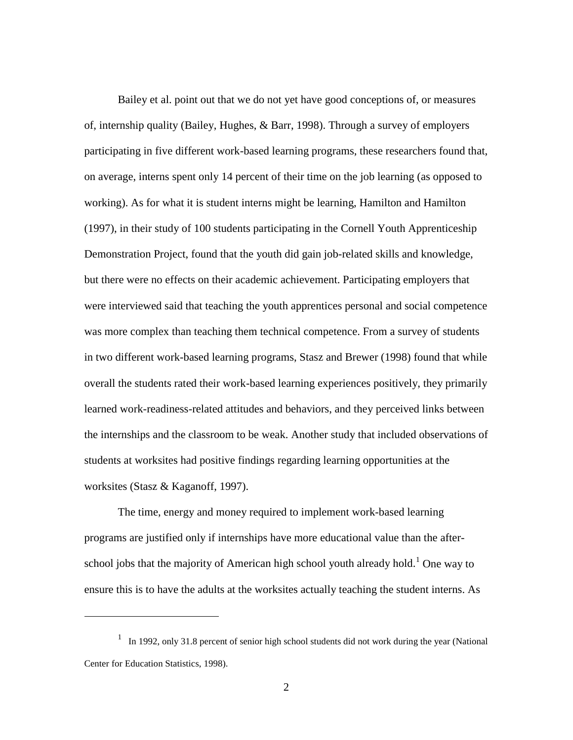Bailey et al. point out that we do not yet have good conceptions of, or measures of, internship quality (Bailey, Hughes, & Barr, 1998). Through a survey of employers participating in five different work-based learning programs, these researchers found that, on average, interns spent only 14 percent of their time on the job learning (as opposed to working). As for what it is student interns might be learning, Hamilton and Hamilton (1997), in their study of 100 students participating in the Cornell Youth Apprenticeship Demonstration Project, found that the youth did gain job-related skills and knowledge, but there were no effects on their academic achievement. Participating employers that were interviewed said that teaching the youth apprentices personal and social competence was more complex than teaching them technical competence. From a survey of students in two different work-based learning programs, Stasz and Brewer (1998) found that while overall the students rated their work-based learning experiences positively, they primarily learned work-readiness-related attitudes and behaviors, and they perceived links between the internships and the classroom to be weak. Another study that included observations of students at worksites had positive findings regarding learning opportunities at the worksites (Stasz & Kaganoff, 1997).

The time, energy and money required to implement work-based learning programs are justified only if internships have more educational value than the afterschool jobs that the majority of American high school youth already hold.<sup>1</sup> One way to ensure this is to have the adults at the worksites actually teaching the student interns. As

 $\overline{a}$ 

 $1 \text{ In } 1992$ , only 31.8 percent of senior high school students did not work during the year (National Center for Education Statistics, 1998).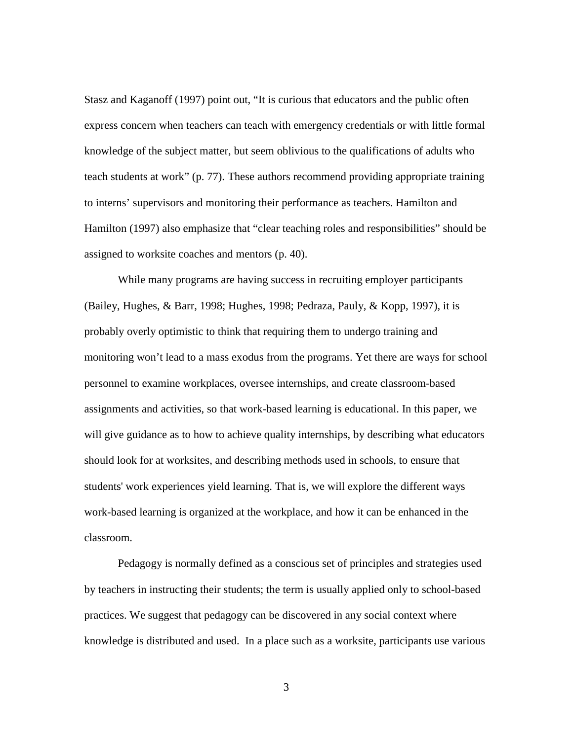Stasz and Kaganoff (1997) point out, "It is curious that educators and the public often express concern when teachers can teach with emergency credentials or with little formal knowledge of the subject matter, but seem oblivious to the qualifications of adults who teach students at work" (p. 77). These authors recommend providing appropriate training to interns' supervisors and monitoring their performance as teachers. Hamilton and Hamilton (1997) also emphasize that "clear teaching roles and responsibilities" should be assigned to worksite coaches and mentors (p. 40).

While many programs are having success in recruiting employer participants (Bailey, Hughes, & Barr, 1998; Hughes, 1998; Pedraza, Pauly, & Kopp, 1997), it is probably overly optimistic to think that requiring them to undergo training and monitoring won't lead to a mass exodus from the programs. Yet there are ways for school personnel to examine workplaces, oversee internships, and create classroom-based assignments and activities, so that work-based learning is educational. In this paper, we will give guidance as to how to achieve quality internships, by describing what educators should look for at worksites, and describing methods used in schools, to ensure that students' work experiences yield learning. That is, we will explore the different ways work-based learning is organized at the workplace, and how it can be enhanced in the classroom.

Pedagogy is normally defined as a conscious set of principles and strategies used by teachers in instructing their students; the term is usually applied only to school-based practices. We suggest that pedagogy can be discovered in any social context where knowledge is distributed and used. In a place such as a worksite, participants use various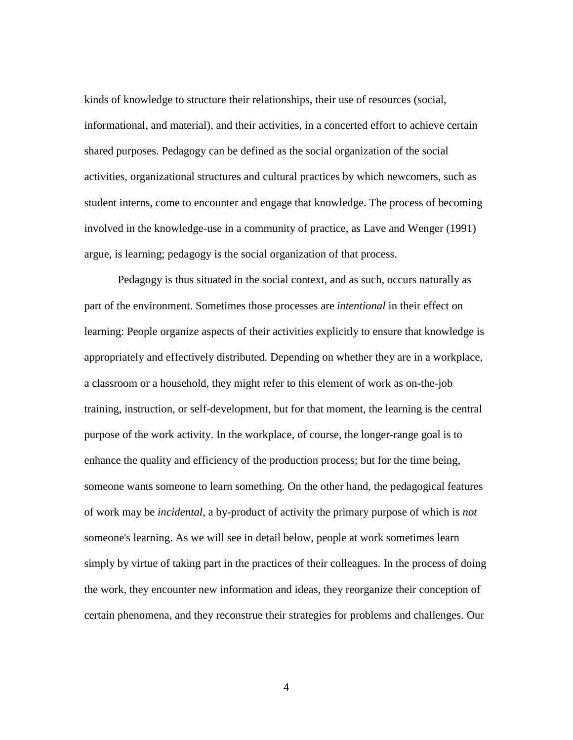kinds of knowledge to structure their relationships, their use of resources (social, informational, and material), and their activities, in a concerted effort to achieve certain shared purposes. Pedagogy can be defined as the social organization of the social activities, organizational structures and cultural practices by which newcomers, such as student interns, come to encounter and engage that knowledge. The process of becoming involved in the knowledge-use in a community of practice, as Lave and Wenger (1991) argue, is learning; pedagogy is the social organization of that process.

Pedagogy is thus situated in the social context, and as such, occurs naturally as part of the environment. Sometimes those processes are *intentional* in their effect on learning: People organize aspects of their activities explicitly to ensure that knowledge is appropriately and effectively distributed. Depending on whether they are in a workplace, a classroom or a household, they might refer to this element of work as on-the-job training, instruction, or self-development, but for that moment, the learning is the central purpose of the work activity. In the workplace, of course, the longer-range goal is to enhance the quality and efficiency of the production process; but for the time being, someone wants someone to learn something. On the other hand, the pedagogical features of work may be *incidental*, a by-product of activity the primary purpose of which is *not* someone's learning. As we will see in detail below, people at work sometimes learn simply by virtue of taking part in the practices of their colleagues. In the process of doing the work, they encounter new information and ideas, they reorganize their conception of certain phenomena, and they reconstrue their strategies for problems and challenges. Our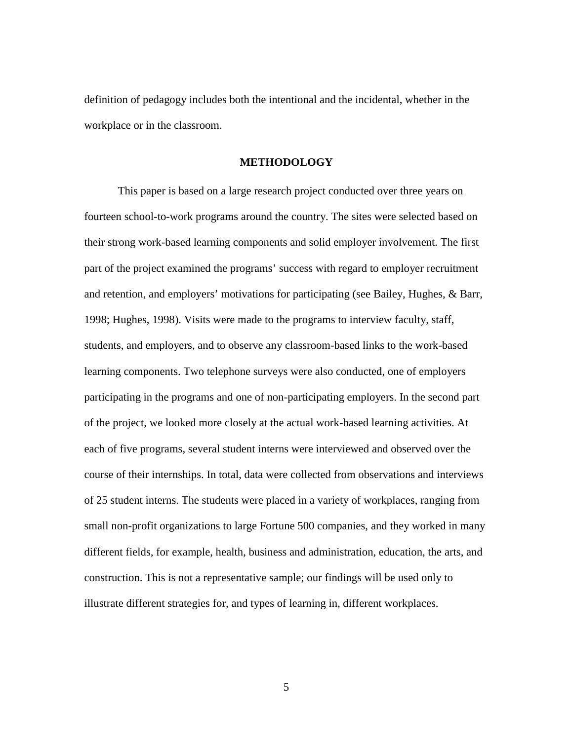definition of pedagogy includes both the intentional and the incidental, whether in the workplace or in the classroom.

# **METHODOLOGY**

This paper is based on a large research project conducted over three years on fourteen school-to-work programs around the country. The sites were selected based on their strong work-based learning components and solid employer involvement. The first part of the project examined the programs' success with regard to employer recruitment and retention, and employers' motivations for participating (see Bailey, Hughes, & Barr, 1998; Hughes, 1998). Visits were made to the programs to interview faculty, staff, students, and employers, and to observe any classroom-based links to the work-based learning components. Two telephone surveys were also conducted, one of employers participating in the programs and one of non-participating employers. In the second part of the project, we looked more closely at the actual work-based learning activities. At each of five programs, several student interns were interviewed and observed over the course of their internships. In total, data were collected from observations and interviews of 25 student interns. The students were placed in a variety of workplaces, ranging from small non-profit organizations to large Fortune 500 companies, and they worked in many different fields, for example, health, business and administration, education, the arts, and construction. This is not a representative sample; our findings will be used only to illustrate different strategies for, and types of learning in, different workplaces.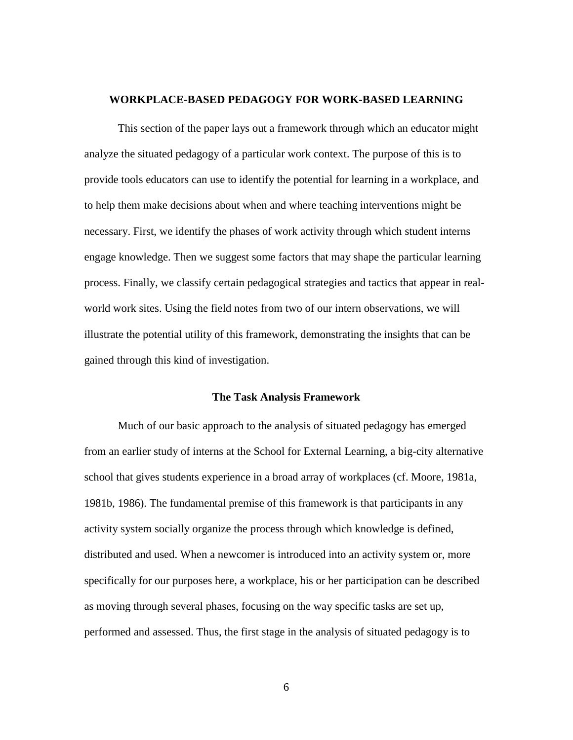# **WORKPLACE-BASED PEDAGOGY FOR WORK-BASED LEARNING**

This section of the paper lays out a framework through which an educator might analyze the situated pedagogy of a particular work context. The purpose of this is to provide tools educators can use to identify the potential for learning in a workplace, and to help them make decisions about when and where teaching interventions might be necessary. First, we identify the phases of work activity through which student interns engage knowledge. Then we suggest some factors that may shape the particular learning process. Finally, we classify certain pedagogical strategies and tactics that appear in realworld work sites. Using the field notes from two of our intern observations, we will illustrate the potential utility of this framework, demonstrating the insights that can be gained through this kind of investigation.

# **The Task Analysis Framework**

Much of our basic approach to the analysis of situated pedagogy has emerged from an earlier study of interns at the School for External Learning, a big-city alternative school that gives students experience in a broad array of workplaces (cf. Moore, 1981a, 1981b, 1986). The fundamental premise of this framework is that participants in any activity system socially organize the process through which knowledge is defined, distributed and used. When a newcomer is introduced into an activity system or, more specifically for our purposes here, a workplace, his or her participation can be described as moving through several phases, focusing on the way specific tasks are set up, performed and assessed. Thus, the first stage in the analysis of situated pedagogy is to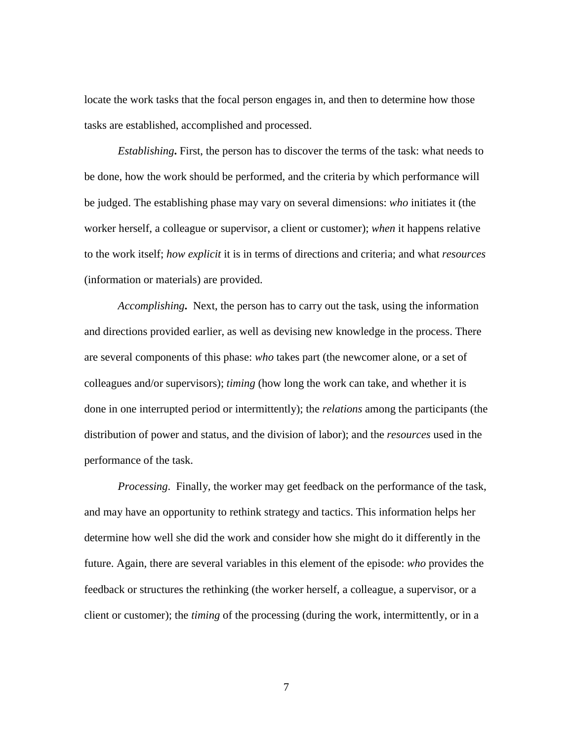locate the work tasks that the focal person engages in, and then to determine how those tasks are established, accomplished and processed.

*Establishing***.** First, the person has to discover the terms of the task: what needs to be done, how the work should be performed, and the criteria by which performance will be judged. The establishing phase may vary on several dimensions: *who* initiates it (the worker herself, a colleague or supervisor, a client or customer); *when* it happens relative to the work itself; *how explicit* it is in terms of directions and criteria; and what *resources* (information or materials) are provided.

*Accomplishing***.** Next, the person has to carry out the task, using the information and directions provided earlier, as well as devising new knowledge in the process. There are several components of this phase: *who* takes part (the newcomer alone, or a set of colleagues and/or supervisors); *timing* (how long the work can take, and whether it is done in one interrupted period or intermittently); the *relations* among the participants (the distribution of power and status, and the division of labor); and the *resources* used in the performance of the task.

*Processing*. Finally, the worker may get feedback on the performance of the task, and may have an opportunity to rethink strategy and tactics. This information helps her determine how well she did the work and consider how she might do it differently in the future. Again, there are several variables in this element of the episode: *who* provides the feedback or structures the rethinking (the worker herself, a colleague, a supervisor, or a client or customer); the *timing* of the processing (during the work, intermittently, or in a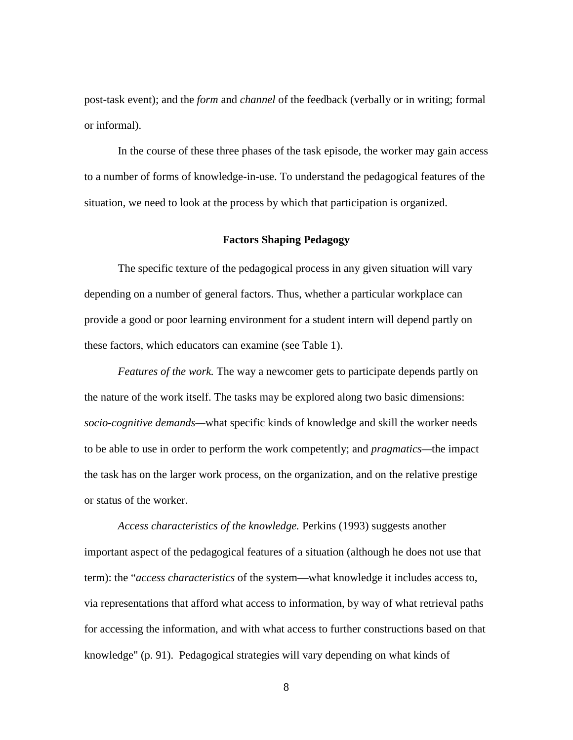post-task event); and the *form* and *channel* of the feedback (verbally or in writing; formal or informal).

In the course of these three phases of the task episode, the worker may gain access to a number of forms of knowledge-in-use. To understand the pedagogical features of the situation, we need to look at the process by which that participation is organized.

# **Factors Shaping Pedagogy**

The specific texture of the pedagogical process in any given situation will vary depending on a number of general factors. Thus, whether a particular workplace can provide a good or poor learning environment for a student intern will depend partly on these factors, which educators can examine (see Table 1).

*Features of the work.* The way a newcomer gets to participate depends partly on the nature of the work itself. The tasks may be explored along two basic dimensions: *socio-cognitive demands—*what specific kinds of knowledge and skill the worker needs to be able to use in order to perform the work competently; and *pragmatics—*the impact the task has on the larger work process, on the organization, and on the relative prestige or status of the worker.

*Access characteristics of the knowledge.* Perkins (1993) suggests another important aspect of the pedagogical features of a situation (although he does not use that term): the "*access characteristics* of the system—what knowledge it includes access to, via representations that afford what access to information, by way of what retrieval paths for accessing the information, and with what access to further constructions based on that knowledge" (p. 91). Pedagogical strategies will vary depending on what kinds of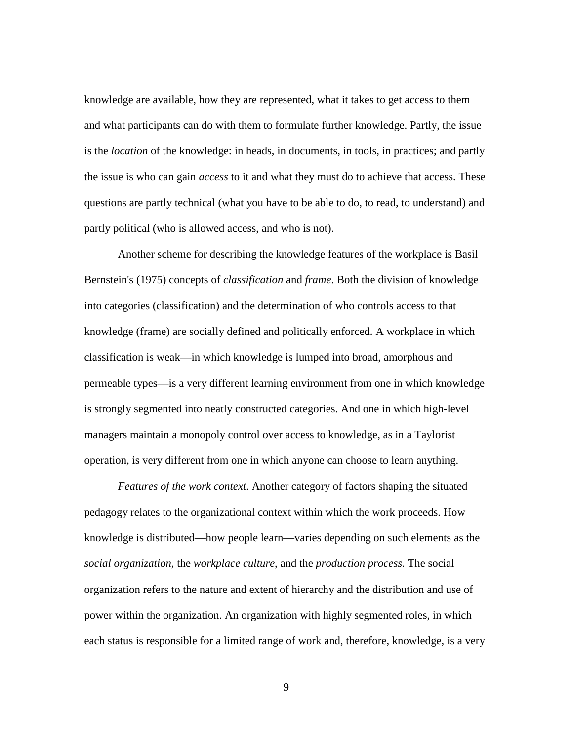knowledge are available, how they are represented, what it takes to get access to them and what participants can do with them to formulate further knowledge. Partly, the issue is the *location* of the knowledge: in heads, in documents, in tools, in practices; and partly the issue is who can gain *access* to it and what they must do to achieve that access. These questions are partly technical (what you have to be able to do, to read, to understand) and partly political (who is allowed access, and who is not).

Another scheme for describing the knowledge features of the workplace is Basil Bernstein's (1975) concepts of *classification* and *frame*. Both the division of knowledge into categories (classification) and the determination of who controls access to that knowledge (frame) are socially defined and politically enforced. A workplace in which classification is weak—in which knowledge is lumped into broad, amorphous and permeable types—is a very different learning environment from one in which knowledge is strongly segmented into neatly constructed categories. And one in which high-level managers maintain a monopoly control over access to knowledge, as in a Taylorist operation, is very different from one in which anyone can choose to learn anything.

*Features of the work context*. Another category of factors shaping the situated pedagogy relates to the organizational context within which the work proceeds. How knowledge is distributed—how people learn—varies depending on such elements as the *social organization*, the *workplace culture*, and the *production process.* The social organization refers to the nature and extent of hierarchy and the distribution and use of power within the organization. An organization with highly segmented roles, in which each status is responsible for a limited range of work and, therefore, knowledge, is a very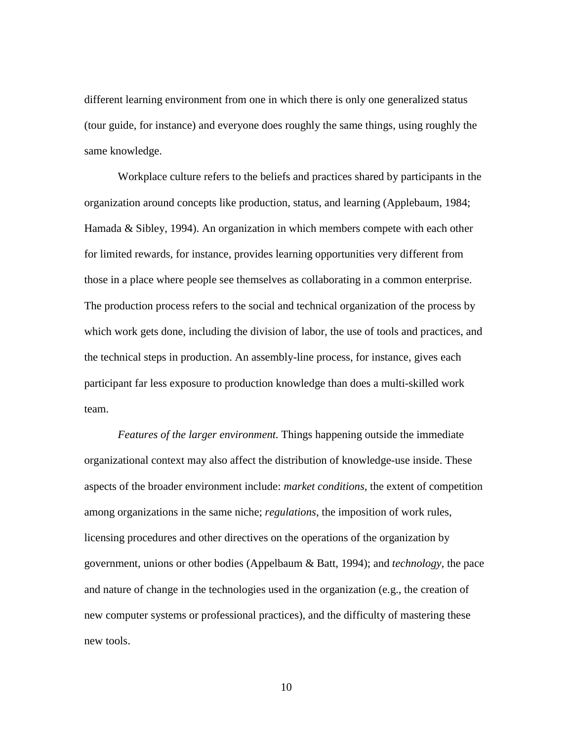different learning environment from one in which there is only one generalized status (tour guide, for instance) and everyone does roughly the same things, using roughly the same knowledge.

Workplace culture refers to the beliefs and practices shared by participants in the organization around concepts like production, status, and learning (Applebaum, 1984; Hamada & Sibley, 1994). An organization in which members compete with each other for limited rewards, for instance, provides learning opportunities very different from those in a place where people see themselves as collaborating in a common enterprise. The production process refers to the social and technical organization of the process by which work gets done, including the division of labor, the use of tools and practices, and the technical steps in production. An assembly-line process, for instance, gives each participant far less exposure to production knowledge than does a multi-skilled work team.

*Features of the larger environment.* Things happening outside the immediate organizational context may also affect the distribution of knowledge-use inside. These aspects of the broader environment include: *market conditions*, the extent of competition among organizations in the same niche; *regulations*, the imposition of work rules, licensing procedures and other directives on the operations of the organization by government, unions or other bodies (Appelbaum & Batt, 1994); and *technology*, the pace and nature of change in the technologies used in the organization (e.g., the creation of new computer systems or professional practices), and the difficulty of mastering these new tools.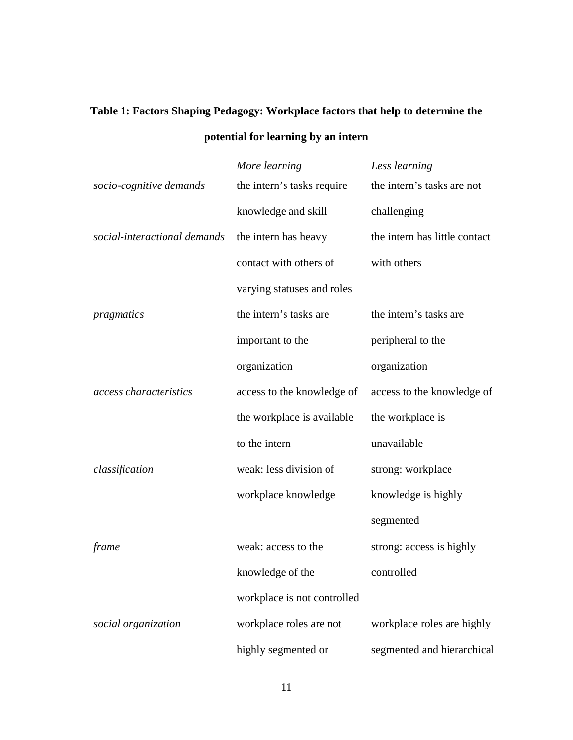# **Table 1: Factors Shaping Pedagogy: Workplace factors that help to determine the potential for learning by an intern**

|                              | More learning               | Less learning                 |
|------------------------------|-----------------------------|-------------------------------|
| socio-cognitive demands      | the intern's tasks require  | the intern's tasks are not    |
|                              | knowledge and skill         | challenging                   |
| social-interactional demands | the intern has heavy        | the intern has little contact |
|                              | contact with others of      | with others                   |
|                              | varying statuses and roles  |                               |
| pragmatics                   | the intern's tasks are      | the intern's tasks are        |
|                              | important to the            | peripheral to the             |
|                              | organization                | organization                  |
| access characteristics       | access to the knowledge of  | access to the knowledge of    |
|                              | the workplace is available  | the workplace is              |
|                              | to the intern               | unavailable                   |
| classification               | weak: less division of      | strong: workplace             |
|                              | workplace knowledge         | knowledge is highly           |
|                              |                             | segmented                     |
| frame                        | weak: access to the         | strong: access is highly      |
|                              | knowledge of the            | controlled                    |
|                              | workplace is not controlled |                               |
| social organization          | workplace roles are not     | workplace roles are highly    |
|                              | highly segmented or         | segmented and hierarchical    |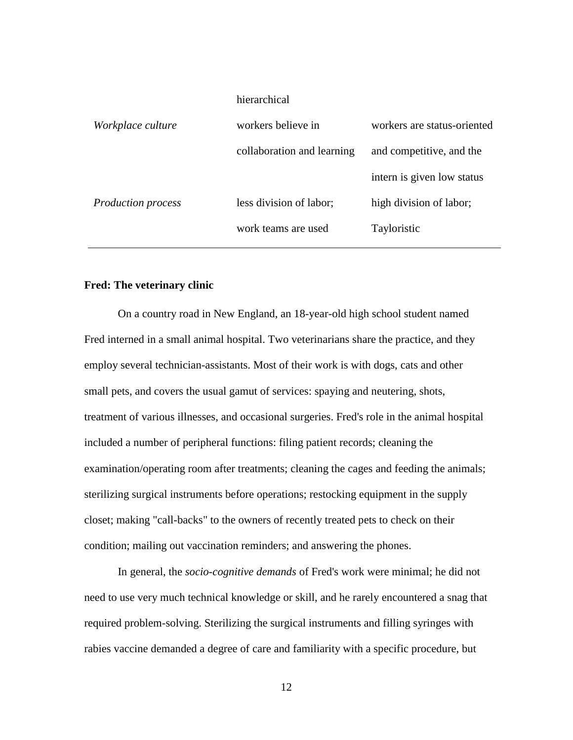# hierarchical

| workers believe in         | workers are status-oriented |
|----------------------------|-----------------------------|
| collaboration and learning | and competitive, and the    |
|                            | intern is given low status  |
| less division of labor;    | high division of labor;     |
| work teams are used        | Tayloristic                 |
|                            |                             |

# **Fred: The veterinary clinic**

On a country road in New England, an 18-year-old high school student named Fred interned in a small animal hospital. Two veterinarians share the practice, and they employ several technician-assistants. Most of their work is with dogs, cats and other small pets, and covers the usual gamut of services: spaying and neutering, shots, treatment of various illnesses, and occasional surgeries. Fred's role in the animal hospital included a number of peripheral functions: filing patient records; cleaning the examination/operating room after treatments; cleaning the cages and feeding the animals; sterilizing surgical instruments before operations; restocking equipment in the supply closet; making "call-backs" to the owners of recently treated pets to check on their condition; mailing out vaccination reminders; and answering the phones.

In general, the *socio-cognitive demands* of Fred's work were minimal; he did not need to use very much technical knowledge or skill, and he rarely encountered a snag that required problem-solving. Sterilizing the surgical instruments and filling syringes with rabies vaccine demanded a degree of care and familiarity with a specific procedure, but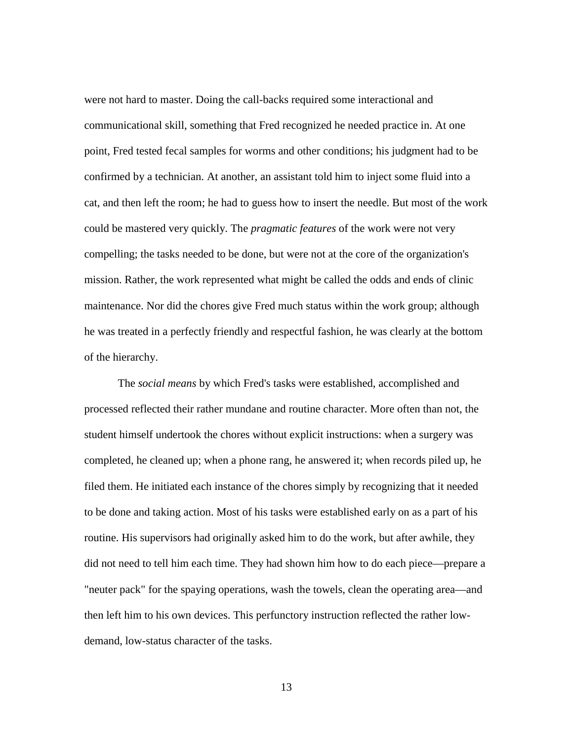were not hard to master. Doing the call-backs required some interactional and communicational skill, something that Fred recognized he needed practice in. At one point, Fred tested fecal samples for worms and other conditions; his judgment had to be confirmed by a technician. At another, an assistant told him to inject some fluid into a cat, and then left the room; he had to guess how to insert the needle. But most of the work could be mastered very quickly. The *pragmatic features* of the work were not very compelling; the tasks needed to be done, but were not at the core of the organization's mission. Rather, the work represented what might be called the odds and ends of clinic maintenance. Nor did the chores give Fred much status within the work group; although he was treated in a perfectly friendly and respectful fashion, he was clearly at the bottom of the hierarchy.

The *social means* by which Fred's tasks were established, accomplished and processed reflected their rather mundane and routine character. More often than not, the student himself undertook the chores without explicit instructions: when a surgery was completed, he cleaned up; when a phone rang, he answered it; when records piled up, he filed them. He initiated each instance of the chores simply by recognizing that it needed to be done and taking action. Most of his tasks were established early on as a part of his routine. His supervisors had originally asked him to do the work, but after awhile, they did not need to tell him each time. They had shown him how to do each piece—prepare a "neuter pack" for the spaying operations, wash the towels, clean the operating area—and then left him to his own devices. This perfunctory instruction reflected the rather lowdemand, low-status character of the tasks.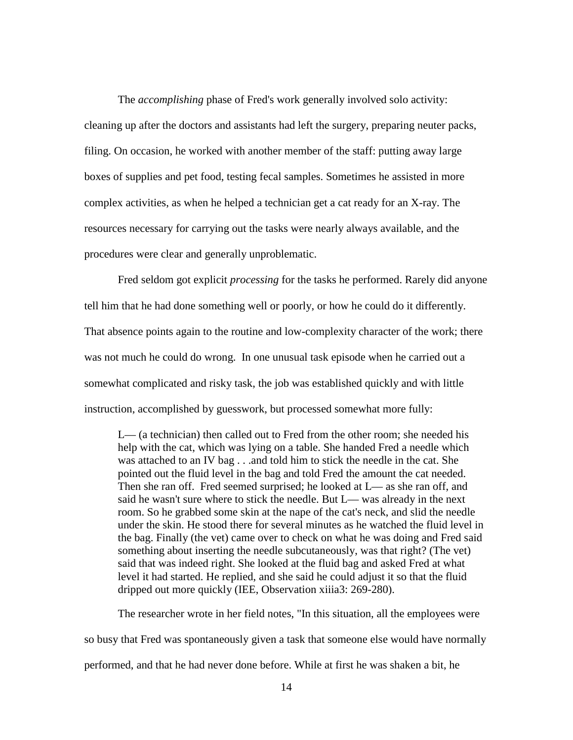The *accomplishing* phase of Fred's work generally involved solo activity: cleaning up after the doctors and assistants had left the surgery, preparing neuter packs, filing. On occasion, he worked with another member of the staff: putting away large boxes of supplies and pet food, testing fecal samples. Sometimes he assisted in more complex activities, as when he helped a technician get a cat ready for an X-ray. The resources necessary for carrying out the tasks were nearly always available, and the procedures were clear and generally unproblematic.

Fred seldom got explicit *processing* for the tasks he performed. Rarely did anyone tell him that he had done something well or poorly, or how he could do it differently. That absence points again to the routine and low-complexity character of the work; there was not much he could do wrong. In one unusual task episode when he carried out a somewhat complicated and risky task, the job was established quickly and with little instruction, accomplished by guesswork, but processed somewhat more fully:

L— (a technician) then called out to Fred from the other room; she needed his help with the cat, which was lying on a table. She handed Fred a needle which was attached to an IV bag . . .and told him to stick the needle in the cat. She pointed out the fluid level in the bag and told Fred the amount the cat needed. Then she ran off. Fred seemed surprised; he looked at L— as she ran off, and said he wasn't sure where to stick the needle. But L— was already in the next room. So he grabbed some skin at the nape of the cat's neck, and slid the needle under the skin. He stood there for several minutes as he watched the fluid level in the bag. Finally (the vet) came over to check on what he was doing and Fred said something about inserting the needle subcutaneously, was that right? (The vet) said that was indeed right. She looked at the fluid bag and asked Fred at what level it had started. He replied, and she said he could adjust it so that the fluid dripped out more quickly (IEE, Observation xiiia3: 269-280).

The researcher wrote in her field notes, "In this situation, all the employees were so busy that Fred was spontaneously given a task that someone else would have normally performed, and that he had never done before. While at first he was shaken a bit, he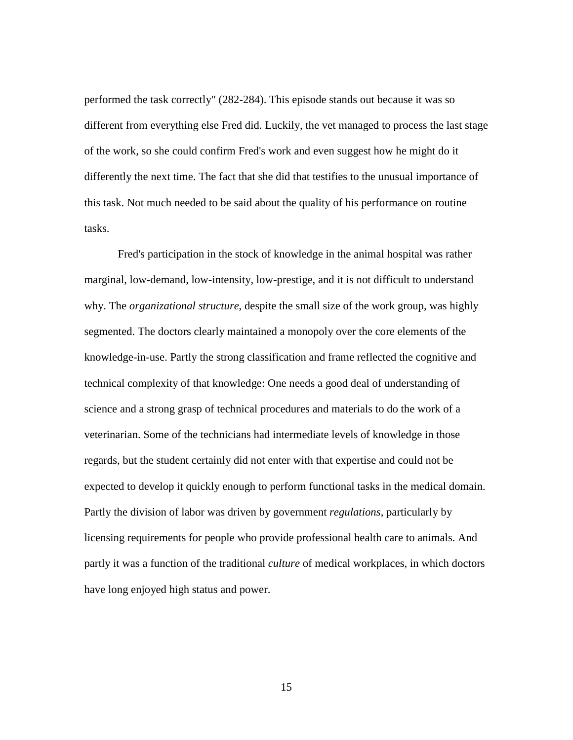performed the task correctly" (282-284). This episode stands out because it was so different from everything else Fred did. Luckily, the vet managed to process the last stage of the work, so she could confirm Fred's work and even suggest how he might do it differently the next time. The fact that she did that testifies to the unusual importance of this task. Not much needed to be said about the quality of his performance on routine tasks.

Fred's participation in the stock of knowledge in the animal hospital was rather marginal, low-demand, low-intensity, low-prestige, and it is not difficult to understand why. The *organizational structure*, despite the small size of the work group, was highly segmented. The doctors clearly maintained a monopoly over the core elements of the knowledge-in-use. Partly the strong classification and frame reflected the cognitive and technical complexity of that knowledge: One needs a good deal of understanding of science and a strong grasp of technical procedures and materials to do the work of a veterinarian. Some of the technicians had intermediate levels of knowledge in those regards, but the student certainly did not enter with that expertise and could not be expected to develop it quickly enough to perform functional tasks in the medical domain. Partly the division of labor was driven by government *regulations*, particularly by licensing requirements for people who provide professional health care to animals. And partly it was a function of the traditional *culture* of medical workplaces, in which doctors have long enjoyed high status and power.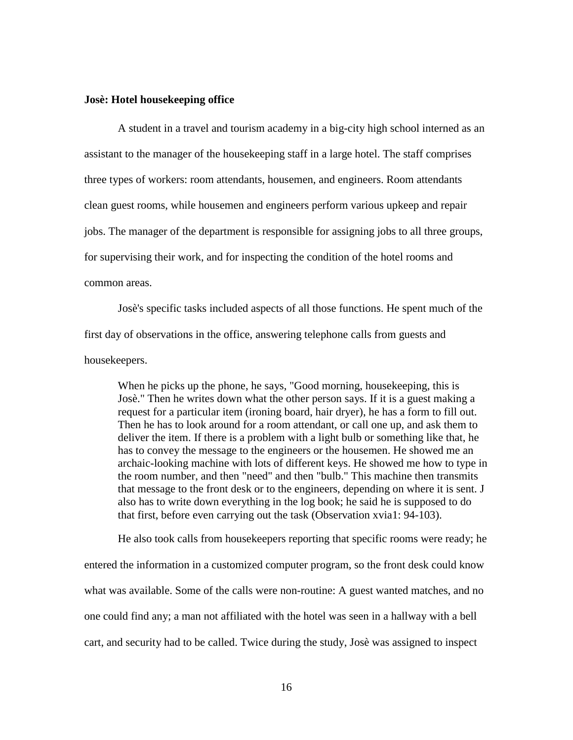# **Josè: Hotel housekeeping office**

A student in a travel and tourism academy in a big-city high school interned as an assistant to the manager of the housekeeping staff in a large hotel. The staff comprises three types of workers: room attendants, housemen, and engineers. Room attendants clean guest rooms, while housemen and engineers perform various upkeep and repair jobs. The manager of the department is responsible for assigning jobs to all three groups, for supervising their work, and for inspecting the condition of the hotel rooms and common areas.

Josè's specific tasks included aspects of all those functions. He spent much of the first day of observations in the office, answering telephone calls from guests and housekeepers.

When he picks up the phone, he says, "Good morning, house keeping, this is Josè." Then he writes down what the other person says. If it is a guest making a request for a particular item (ironing board, hair dryer), he has a form to fill out. Then he has to look around for a room attendant, or call one up, and ask them to deliver the item. If there is a problem with a light bulb or something like that, he has to convey the message to the engineers or the housemen. He showed me an archaic-looking machine with lots of different keys. He showed me how to type in the room number, and then "need" and then "bulb." This machine then transmits that message to the front desk or to the engineers, depending on where it is sent. J also has to write down everything in the log book; he said he is supposed to do that first, before even carrying out the task (Observation xvia1: 94-103).

He also took calls from housekeepers reporting that specific rooms were ready; he entered the information in a customized computer program, so the front desk could know what was available. Some of the calls were non-routine: A guest wanted matches, and no one could find any; a man not affiliated with the hotel was seen in a hallway with a bell cart, and security had to be called. Twice during the study, Josè was assigned to inspect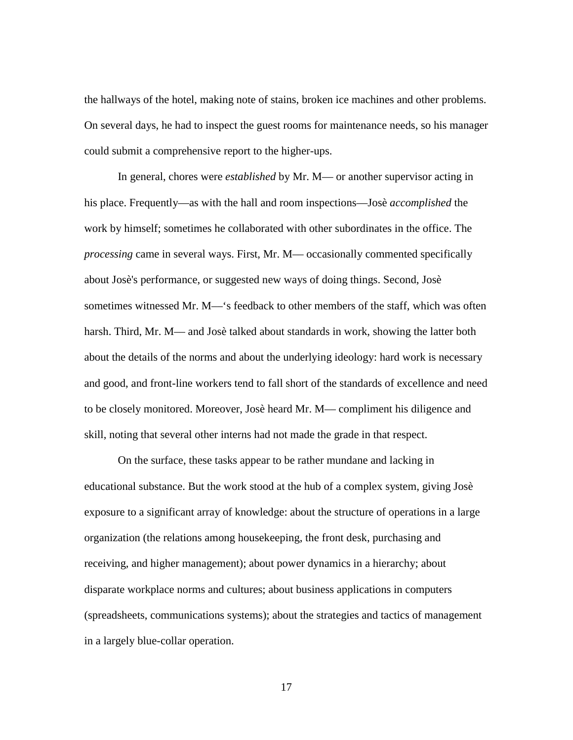the hallways of the hotel, making note of stains, broken ice machines and other problems. On several days, he had to inspect the guest rooms for maintenance needs, so his manager could submit a comprehensive report to the higher-ups.

In general, chores were *established* by Mr. M–– or another supervisor acting in his place. Frequently—as with the hall and room inspections—Josè *accomplished* the work by himself; sometimes he collaborated with other subordinates in the office. The *processing* came in several ways. First, Mr. M–– occasionally commented specifically about Josè's performance, or suggested new ways of doing things. Second, Josè sometimes witnessed Mr. M––'s feedback to other members of the staff, which was often harsh. Third, Mr. M— and Josè talked about standards in work, showing the latter both about the details of the norms and about the underlying ideology: hard work is necessary and good, and front-line workers tend to fall short of the standards of excellence and need to be closely monitored. Moreover, Josè heard Mr. M–– compliment his diligence and skill, noting that several other interns had not made the grade in that respect.

On the surface, these tasks appear to be rather mundane and lacking in educational substance. But the work stood at the hub of a complex system, giving Josè exposure to a significant array of knowledge: about the structure of operations in a large organization (the relations among housekeeping, the front desk, purchasing and receiving, and higher management); about power dynamics in a hierarchy; about disparate workplace norms and cultures; about business applications in computers (spreadsheets, communications systems); about the strategies and tactics of management in a largely blue-collar operation.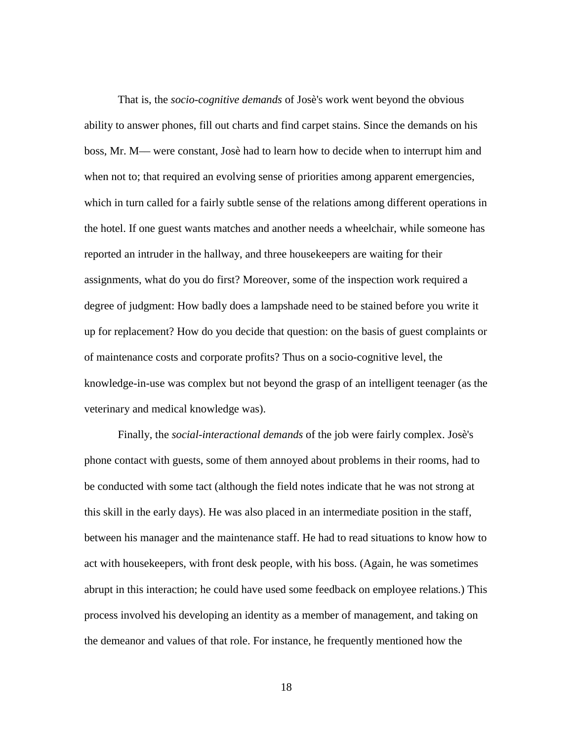That is, the *socio-cognitive demands* of Josè's work went beyond the obvious ability to answer phones, fill out charts and find carpet stains. Since the demands on his boss, Mr. M–– were constant, Josè had to learn how to decide when to interrupt him and when not to; that required an evolving sense of priorities among apparent emergencies, which in turn called for a fairly subtle sense of the relations among different operations in the hotel. If one guest wants matches and another needs a wheelchair, while someone has reported an intruder in the hallway, and three housekeepers are waiting for their assignments, what do you do first? Moreover, some of the inspection work required a degree of judgment: How badly does a lampshade need to be stained before you write it up for replacement? How do you decide that question: on the basis of guest complaints or of maintenance costs and corporate profits? Thus on a socio-cognitive level, the knowledge-in-use was complex but not beyond the grasp of an intelligent teenager (as the veterinary and medical knowledge was).

Finally, the *social-interactional demands* of the job were fairly complex. Josè's phone contact with guests, some of them annoyed about problems in their rooms, had to be conducted with some tact (although the field notes indicate that he was not strong at this skill in the early days). He was also placed in an intermediate position in the staff, between his manager and the maintenance staff. He had to read situations to know how to act with housekeepers, with front desk people, with his boss. (Again, he was sometimes abrupt in this interaction; he could have used some feedback on employee relations.) This process involved his developing an identity as a member of management, and taking on the demeanor and values of that role. For instance, he frequently mentioned how the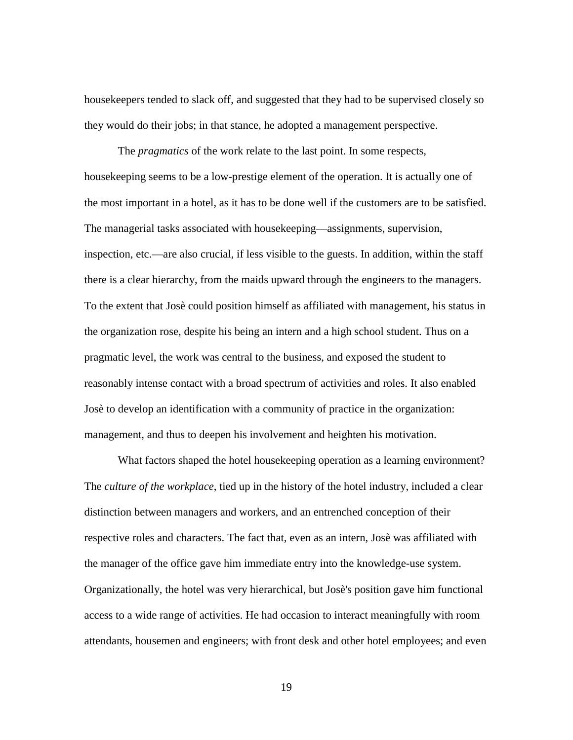housekeepers tended to slack off, and suggested that they had to be supervised closely so they would do their jobs; in that stance, he adopted a management perspective.

The *pragmatics* of the work relate to the last point. In some respects, housekeeping seems to be a low-prestige element of the operation. It is actually one of the most important in a hotel, as it has to be done well if the customers are to be satisfied. The managerial tasks associated with housekeeping—assignments, supervision, inspection, etc.—are also crucial, if less visible to the guests. In addition, within the staff there is a clear hierarchy, from the maids upward through the engineers to the managers. To the extent that Josè could position himself as affiliated with management, his status in the organization rose, despite his being an intern and a high school student. Thus on a pragmatic level, the work was central to the business, and exposed the student to reasonably intense contact with a broad spectrum of activities and roles. It also enabled Josè to develop an identification with a community of practice in the organization: management, and thus to deepen his involvement and heighten his motivation.

What factors shaped the hotel housekeeping operation as a learning environment? The *culture of the workplace*, tied up in the history of the hotel industry, included a clear distinction between managers and workers, and an entrenched conception of their respective roles and characters. The fact that, even as an intern, Josè was affiliated with the manager of the office gave him immediate entry into the knowledge-use system. Organizationally, the hotel was very hierarchical, but Josè's position gave him functional access to a wide range of activities. He had occasion to interact meaningfully with room attendants, housemen and engineers; with front desk and other hotel employees; and even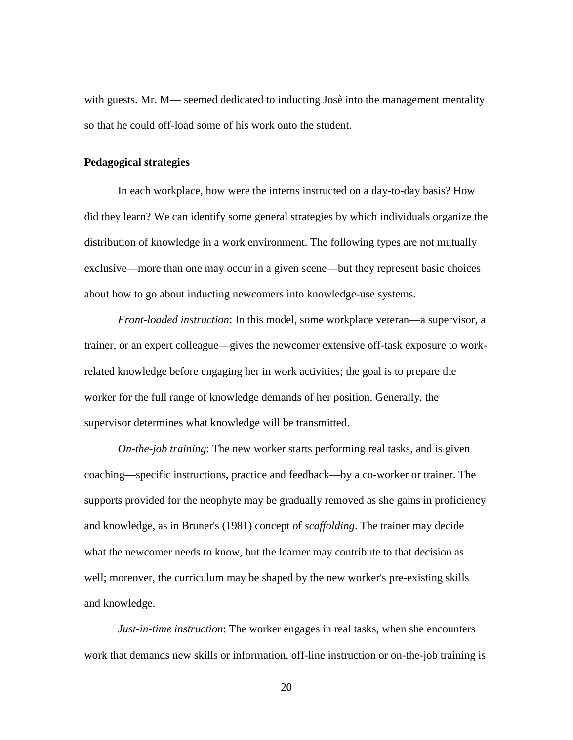with guests. Mr. M— seemed dedicated to inducting Josè into the management mentality so that he could off-load some of his work onto the student.

## **Pedagogical strategies**

In each workplace, how were the interns instructed on a day-to-day basis? How did they learn? We can identify some general strategies by which individuals organize the distribution of knowledge in a work environment. The following types are not mutually exclusive—more than one may occur in a given scene—but they represent basic choices about how to go about inducting newcomers into knowledge-use systems.

*Front-loaded instruction*: In this model, some workplace veteran—a supervisor, a trainer, or an expert colleague—gives the newcomer extensive off-task exposure to workrelated knowledge before engaging her in work activities; the goal is to prepare the worker for the full range of knowledge demands of her position. Generally, the supervisor determines what knowledge will be transmitted.

*On-the-job training*: The new worker starts performing real tasks, and is given coaching—specific instructions, practice and feedback—by a co-worker or trainer. The supports provided for the neophyte may be gradually removed as she gains in proficiency and knowledge, as in Bruner's (1981) concept of *scaffolding*. The trainer may decide what the newcomer needs to know, but the learner may contribute to that decision as well; moreover, the curriculum may be shaped by the new worker's pre-existing skills and knowledge.

*Just-in-time instruction*: The worker engages in real tasks, when she encounters work that demands new skills or information, off-line instruction or on-the-job training is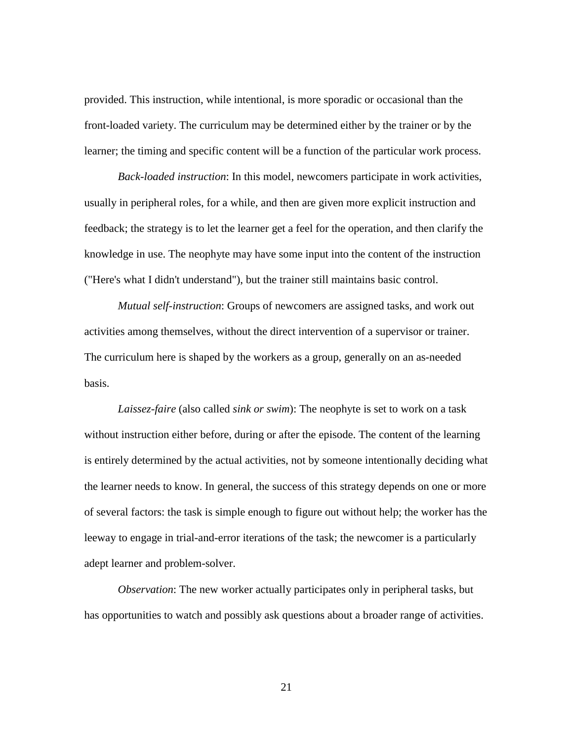provided. This instruction, while intentional, is more sporadic or occasional than the front-loaded variety. The curriculum may be determined either by the trainer or by the learner; the timing and specific content will be a function of the particular work process.

*Back-loaded instruction*: In this model, newcomers participate in work activities, usually in peripheral roles, for a while, and then are given more explicit instruction and feedback; the strategy is to let the learner get a feel for the operation, and then clarify the knowledge in use. The neophyte may have some input into the content of the instruction ("Here's what I didn't understand"), but the trainer still maintains basic control.

*Mutual self-instruction*: Groups of newcomers are assigned tasks, and work out activities among themselves, without the direct intervention of a supervisor or trainer. The curriculum here is shaped by the workers as a group, generally on an as-needed basis.

*Laissez-faire* (also called *sink or swim*): The neophyte is set to work on a task without instruction either before, during or after the episode. The content of the learning is entirely determined by the actual activities, not by someone intentionally deciding what the learner needs to know. In general, the success of this strategy depends on one or more of several factors: the task is simple enough to figure out without help; the worker has the leeway to engage in trial-and-error iterations of the task; the newcomer is a particularly adept learner and problem-solver.

*Observation*: The new worker actually participates only in peripheral tasks, but has opportunities to watch and possibly ask questions about a broader range of activities.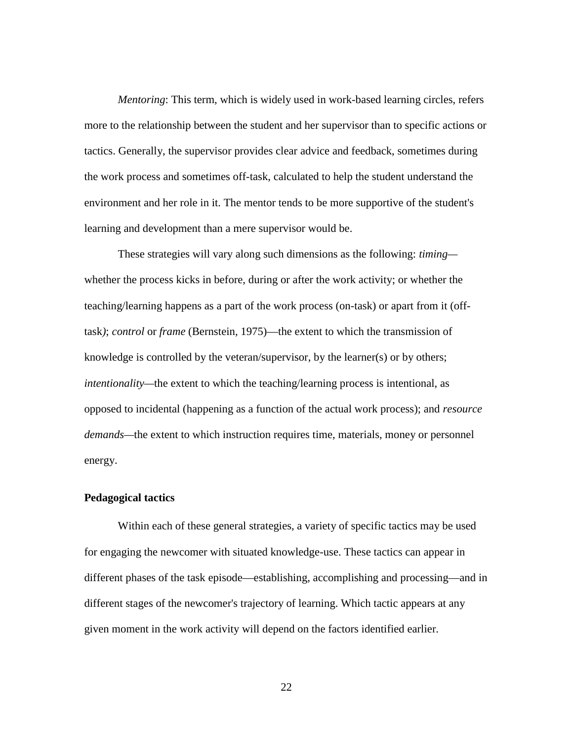*Mentoring*: This term, which is widely used in work-based learning circles, refers more to the relationship between the student and her supervisor than to specific actions or tactics. Generally, the supervisor provides clear advice and feedback, sometimes during the work process and sometimes off-task, calculated to help the student understand the environment and her role in it. The mentor tends to be more supportive of the student's learning and development than a mere supervisor would be.

These strategies will vary along such dimensions as the following: *timing* whether the process kicks in before, during or after the work activity; or whether the teaching/learning happens as a part of the work process (on-task) or apart from it (offtask*)*; *control* or *frame* (Bernstein, 1975)—the extent to which the transmission of knowledge is controlled by the veteran/supervisor, by the learner(s) or by others; *intentionality—*the extent to which the teaching/learning process is intentional, as opposed to incidental (happening as a function of the actual work process); and *resource demands—*the extent to which instruction requires time, materials, money or personnel energy.

# **Pedagogical tactics**

Within each of these general strategies, a variety of specific tactics may be used for engaging the newcomer with situated knowledge-use. These tactics can appear in different phases of the task episode—establishing, accomplishing and processing—and in different stages of the newcomer's trajectory of learning. Which tactic appears at any given moment in the work activity will depend on the factors identified earlier.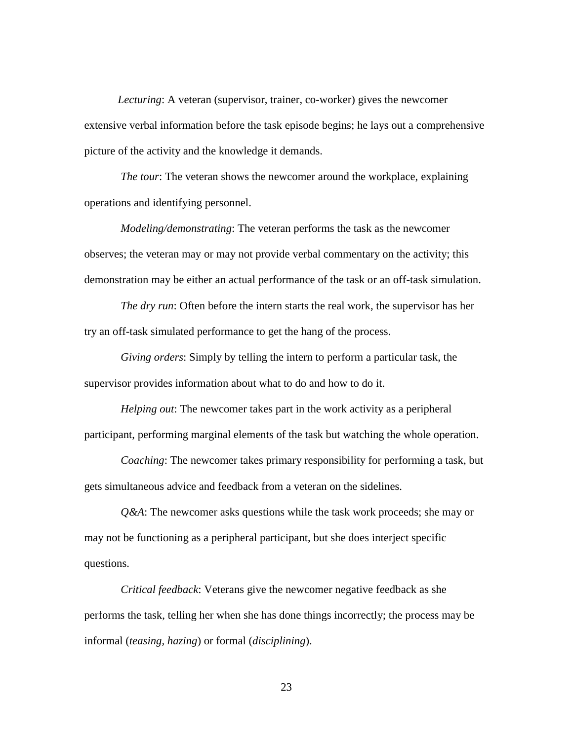*Lecturing*: A veteran (supervisor, trainer, co-worker) gives the newcomer extensive verbal information before the task episode begins; he lays out a comprehensive picture of the activity and the knowledge it demands.

*The tour*: The veteran shows the newcomer around the workplace, explaining operations and identifying personnel.

*Modeling/demonstrating*: The veteran performs the task as the newcomer observes; the veteran may or may not provide verbal commentary on the activity; this demonstration may be either an actual performance of the task or an off-task simulation.

*The dry run*: Often before the intern starts the real work, the supervisor has her try an off-task simulated performance to get the hang of the process.

*Giving orders*: Simply by telling the intern to perform a particular task, the supervisor provides information about what to do and how to do it.

*Helping out*: The newcomer takes part in the work activity as a peripheral participant, performing marginal elements of the task but watching the whole operation.

*Coaching*: The newcomer takes primary responsibility for performing a task, but gets simultaneous advice and feedback from a veteran on the sidelines.

*Q&A*: The newcomer asks questions while the task work proceeds; she may or may not be functioning as a peripheral participant, but she does interject specific questions.

*Critical feedback*: Veterans give the newcomer negative feedback as she performs the task, telling her when she has done things incorrectly; the process may be informal (*teasing, hazing*) or formal (*disciplining*).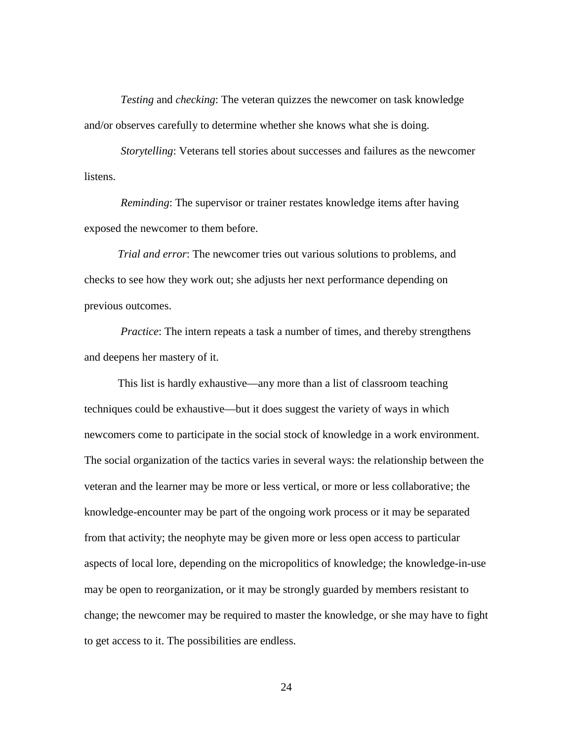*Testing* and *checking*: The veteran quizzes the newcomer on task knowledge and/or observes carefully to determine whether she knows what she is doing.

*Storytelling*: Veterans tell stories about successes and failures as the newcomer listens.

*Reminding*: The supervisor or trainer restates knowledge items after having exposed the newcomer to them before.

*Trial and error*: The newcomer tries out various solutions to problems, and checks to see how they work out; she adjusts her next performance depending on previous outcomes.

*Practice*: The intern repeats a task a number of times, and thereby strengthens and deepens her mastery of it.

This list is hardly exhaustive—any more than a list of classroom teaching techniques could be exhaustive—but it does suggest the variety of ways in which newcomers come to participate in the social stock of knowledge in a work environment. The social organization of the tactics varies in several ways: the relationship between the veteran and the learner may be more or less vertical, or more or less collaborative; the knowledge-encounter may be part of the ongoing work process or it may be separated from that activity; the neophyte may be given more or less open access to particular aspects of local lore, depending on the micropolitics of knowledge; the knowledge-in-use may be open to reorganization, or it may be strongly guarded by members resistant to change; the newcomer may be required to master the knowledge, or she may have to fight to get access to it. The possibilities are endless.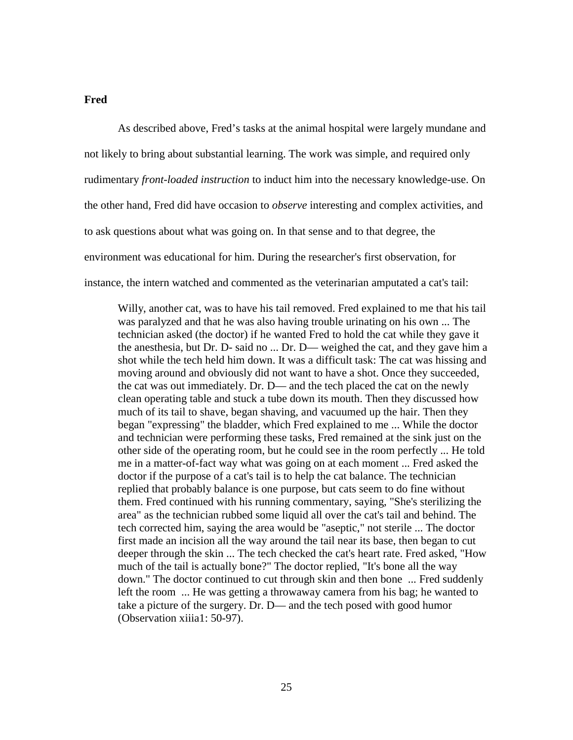# **Fred**

As described above, Fred's tasks at the animal hospital were largely mundane and not likely to bring about substantial learning. The work was simple, and required only rudimentary *front-loaded instruction* to induct him into the necessary knowledge-use. On the other hand, Fred did have occasion to *observe* interesting and complex activities, and to ask questions about what was going on. In that sense and to that degree, the environment was educational for him. During the researcher's first observation, for instance, the intern watched and commented as the veterinarian amputated a cat's tail:

Willy, another cat, was to have his tail removed. Fred explained to me that his tail was paralyzed and that he was also having trouble urinating on his own ... The technician asked (the doctor) if he wanted Fred to hold the cat while they gave it the anesthesia, but Dr. D- said no ... Dr. D— weighed the cat, and they gave him a shot while the tech held him down. It was a difficult task: The cat was hissing and moving around and obviously did not want to have a shot. Once they succeeded, the cat was out immediately. Dr. D— and the tech placed the cat on the newly clean operating table and stuck a tube down its mouth. Then they discussed how much of its tail to shave, began shaving, and vacuumed up the hair. Then they began "expressing" the bladder, which Fred explained to me ... While the doctor and technician were performing these tasks, Fred remained at the sink just on the other side of the operating room, but he could see in the room perfectly ... He told me in a matter-of-fact way what was going on at each moment ... Fred asked the doctor if the purpose of a cat's tail is to help the cat balance. The technician replied that probably balance is one purpose, but cats seem to do fine without them. Fred continued with his running commentary, saying, "She's sterilizing the area" as the technician rubbed some liquid all over the cat's tail and behind. The tech corrected him, saying the area would be "aseptic," not sterile ... The doctor first made an incision all the way around the tail near its base, then began to cut deeper through the skin ... The tech checked the cat's heart rate. Fred asked, "How much of the tail is actually bone?" The doctor replied, "It's bone all the way down." The doctor continued to cut through skin and then bone ... Fred suddenly left the room ... He was getting a throwaway camera from his bag; he wanted to take a picture of the surgery. Dr. D— and the tech posed with good humor (Observation xiiia1: 50-97).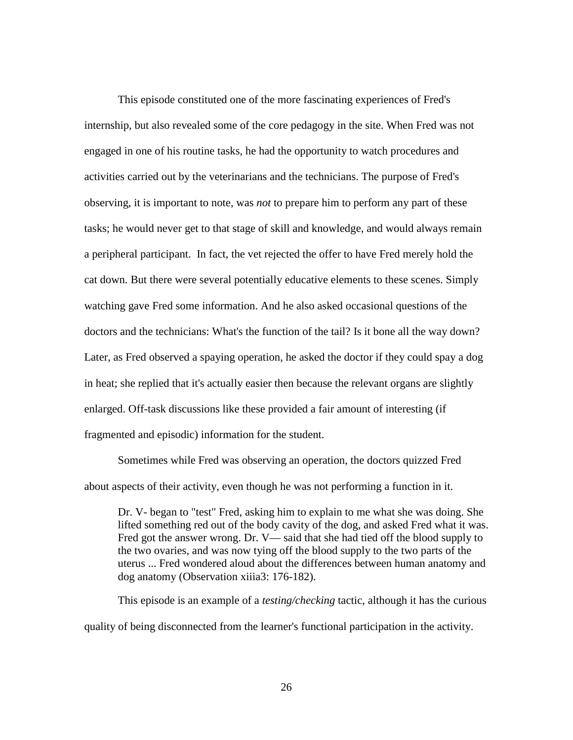This episode constituted one of the more fascinating experiences of Fred's internship, but also revealed some of the core pedagogy in the site. When Fred was not engaged in one of his routine tasks, he had the opportunity to watch procedures and activities carried out by the veterinarians and the technicians. The purpose of Fred's observing, it is important to note, was *not* to prepare him to perform any part of these tasks; he would never get to that stage of skill and knowledge, and would always remain a peripheral participant. In fact, the vet rejected the offer to have Fred merely hold the cat down. But there were several potentially educative elements to these scenes. Simply watching gave Fred some information. And he also asked occasional questions of the doctors and the technicians: What's the function of the tail? Is it bone all the way down? Later, as Fred observed a spaying operation, he asked the doctor if they could spay a dog in heat; she replied that it's actually easier then because the relevant organs are slightly enlarged. Off-task discussions like these provided a fair amount of interesting (if fragmented and episodic) information for the student.

Sometimes while Fred was observing an operation, the doctors quizzed Fred about aspects of their activity, even though he was not performing a function in it.

Dr. V- began to "test" Fred, asking him to explain to me what she was doing. She lifted something red out of the body cavity of the dog, and asked Fred what it was. Fred got the answer wrong. Dr. V— said that she had tied off the blood supply to the two ovaries, and was now tying off the blood supply to the two parts of the uterus ... Fred wondered aloud about the differences between human anatomy and dog anatomy (Observation xiiia3: 176-182).

This episode is an example of a *testing/checking* tactic, although it has the curious quality of being disconnected from the learner's functional participation in the activity.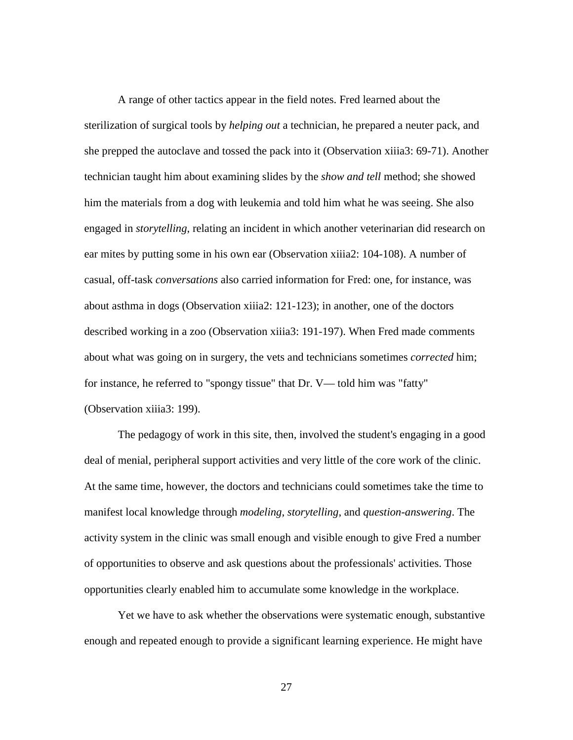A range of other tactics appear in the field notes. Fred learned about the sterilization of surgical tools by *helping out* a technician, he prepared a neuter pack, and she prepped the autoclave and tossed the pack into it (Observation xiiia3: 69-71). Another technician taught him about examining slides by the *show and tell* method; she showed him the materials from a dog with leukemia and told him what he was seeing. She also engaged in *storytelling*, relating an incident in which another veterinarian did research on ear mites by putting some in his own ear (Observation xiiia2: 104-108). A number of casual, off-task *conversations* also carried information for Fred: one, for instance, was about asthma in dogs (Observation xiiia2: 121-123); in another, one of the doctors described working in a zoo (Observation xiiia3: 191-197). When Fred made comments about what was going on in surgery, the vets and technicians sometimes *corrected* him; for instance, he referred to "spongy tissue" that Dr. V— told him was "fatty" (Observation xiiia3: 199).

The pedagogy of work in this site, then, involved the student's engaging in a good deal of menial, peripheral support activities and very little of the core work of the clinic. At the same time, however, the doctors and technicians could sometimes take the time to manifest local knowledge through *modeling*, *storytelling*, and *question-answering*. The activity system in the clinic was small enough and visible enough to give Fred a number of opportunities to observe and ask questions about the professionals' activities. Those opportunities clearly enabled him to accumulate some knowledge in the workplace.

Yet we have to ask whether the observations were systematic enough, substantive enough and repeated enough to provide a significant learning experience. He might have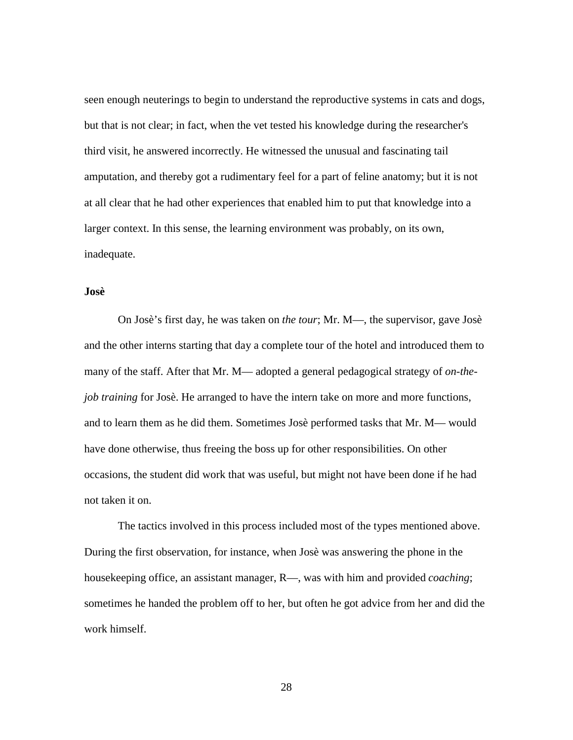seen enough neuterings to begin to understand the reproductive systems in cats and dogs, but that is not clear; in fact, when the vet tested his knowledge during the researcher's third visit, he answered incorrectly. He witnessed the unusual and fascinating tail amputation, and thereby got a rudimentary feel for a part of feline anatomy; but it is not at all clear that he had other experiences that enabled him to put that knowledge into a larger context. In this sense, the learning environment was probably, on its own, inadequate.

# **Josè**

On Josè's first day, he was taken on *the tour*; Mr. M––, the supervisor, gave Josè and the other interns starting that day a complete tour of the hotel and introduced them to many of the staff. After that Mr. M— adopted a general pedagogical strategy of *on-thejob training* for Josè. He arranged to have the intern take on more and more functions, and to learn them as he did them. Sometimes Josè performed tasks that Mr. M— would have done otherwise, thus freeing the boss up for other responsibilities. On other occasions, the student did work that was useful, but might not have been done if he had not taken it on.

The tactics involved in this process included most of the types mentioned above. During the first observation, for instance, when Josè was answering the phone in the housekeeping office, an assistant manager, R—, was with him and provided *coaching*; sometimes he handed the problem off to her, but often he got advice from her and did the work himself.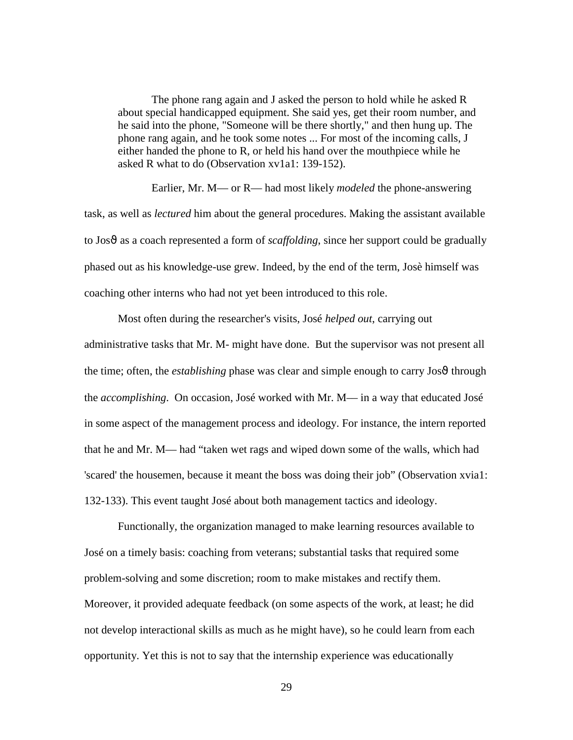The phone rang again and J asked the person to hold while he asked R about special handicapped equipment. She said yes, get their room number, and he said into the phone, "Someone will be there shortly," and then hung up. The phone rang again, and he took some notes ... For most of the incoming calls, J either handed the phone to R, or held his hand over the mouthpiece while he asked R what to do (Observation xv1a1: 139-152).

Earlier, Mr. M— or R— had most likely *modeled* the phone-answering task, as well as *lectured* him about the general procedures. Making the assistant available to Josθ as a coach represented a form of *scaffolding*, since her support could be gradually phased out as his knowledge-use grew. Indeed, by the end of the term, Josè himself was coaching other interns who had not yet been introduced to this role.

Most often during the researcher's visits, José *helped out*, carrying out administrative tasks that Mr. M- might have done. But the supervisor was not present all the time; often, the *establishing* phase was clear and simple enough to carry Jos $\vartheta$  through the *accomplishing*. On occasion, José worked with Mr. M–– in a way that educated José in some aspect of the management process and ideology. For instance, the intern reported that he and Mr. M— had "taken wet rags and wiped down some of the walls, which had 'scared' the housemen, because it meant the boss was doing their job" (Observation xvia1: 132-133). This event taught José about both management tactics and ideology.

Functionally, the organization managed to make learning resources available to José on a timely basis: coaching from veterans; substantial tasks that required some problem-solving and some discretion; room to make mistakes and rectify them. Moreover, it provided adequate feedback (on some aspects of the work, at least; he did not develop interactional skills as much as he might have), so he could learn from each opportunity. Yet this is not to say that the internship experience was educationally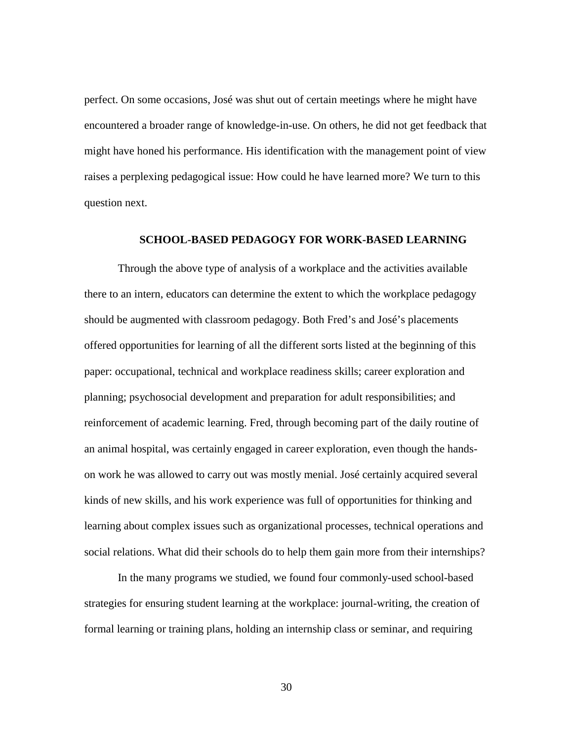perfect. On some occasions, José was shut out of certain meetings where he might have encountered a broader range of knowledge-in-use. On others, he did not get feedback that might have honed his performance. His identification with the management point of view raises a perplexing pedagogical issue: How could he have learned more? We turn to this question next.

#### **SCHOOL-BASED PEDAGOGY FOR WORK-BASED LEARNING**

Through the above type of analysis of a workplace and the activities available there to an intern, educators can determine the extent to which the workplace pedagogy should be augmented with classroom pedagogy. Both Fred's and José's placements offered opportunities for learning of all the different sorts listed at the beginning of this paper: occupational, technical and workplace readiness skills; career exploration and planning; psychosocial development and preparation for adult responsibilities; and reinforcement of academic learning. Fred, through becoming part of the daily routine of an animal hospital, was certainly engaged in career exploration, even though the handson work he was allowed to carry out was mostly menial. José certainly acquired several kinds of new skills, and his work experience was full of opportunities for thinking and learning about complex issues such as organizational processes, technical operations and social relations. What did their schools do to help them gain more from their internships?

In the many programs we studied, we found four commonly-used school-based strategies for ensuring student learning at the workplace: journal-writing, the creation of formal learning or training plans, holding an internship class or seminar, and requiring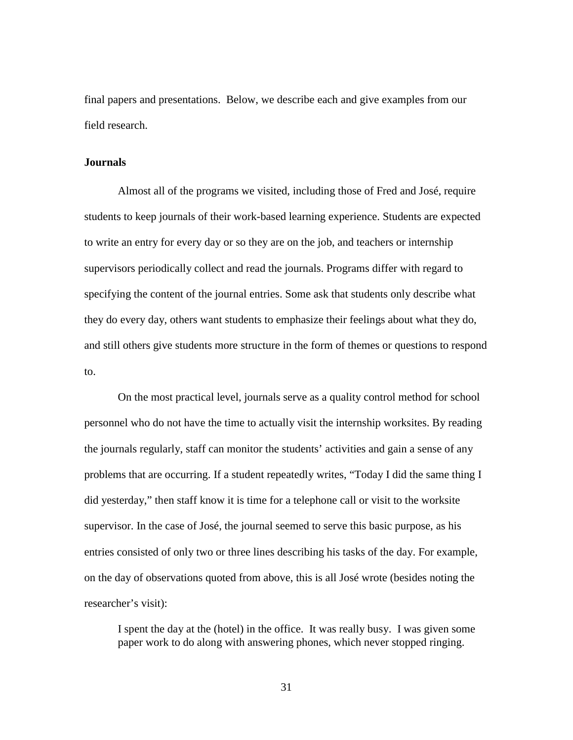final papers and presentations. Below, we describe each and give examples from our field research.

# **Journals**

Almost all of the programs we visited, including those of Fred and José, require students to keep journals of their work-based learning experience. Students are expected to write an entry for every day or so they are on the job, and teachers or internship supervisors periodically collect and read the journals. Programs differ with regard to specifying the content of the journal entries. Some ask that students only describe what they do every day, others want students to emphasize their feelings about what they do, and still others give students more structure in the form of themes or questions to respond to.

On the most practical level, journals serve as a quality control method for school personnel who do not have the time to actually visit the internship worksites. By reading the journals regularly, staff can monitor the students' activities and gain a sense of any problems that are occurring. If a student repeatedly writes, "Today I did the same thing I did yesterday," then staff know it is time for a telephone call or visit to the worksite supervisor. In the case of José, the journal seemed to serve this basic purpose, as his entries consisted of only two or three lines describing his tasks of the day. For example, on the day of observations quoted from above, this is all José wrote (besides noting the researcher's visit):

I spent the day at the (hotel) in the office. It was really busy. I was given some paper work to do along with answering phones, which never stopped ringing.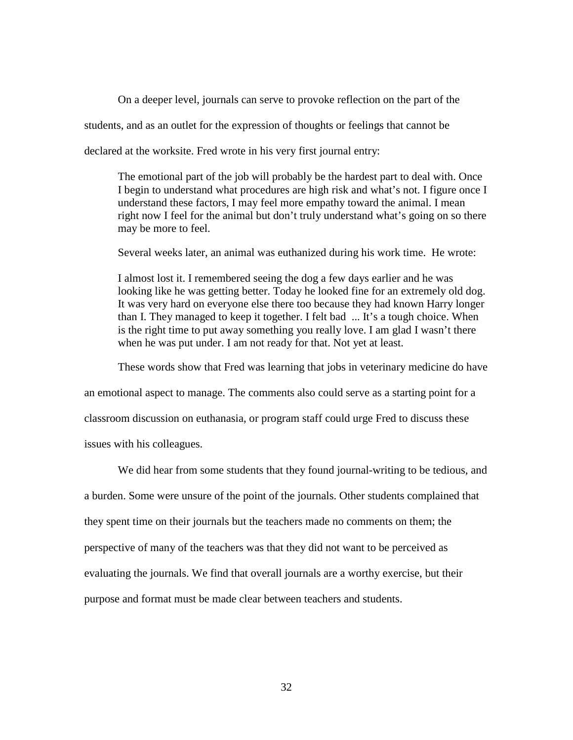On a deeper level, journals can serve to provoke reflection on the part of the

students, and as an outlet for the expression of thoughts or feelings that cannot be

declared at the worksite. Fred wrote in his very first journal entry:

The emotional part of the job will probably be the hardest part to deal with. Once I begin to understand what procedures are high risk and what's not. I figure once I understand these factors, I may feel more empathy toward the animal. I mean right now I feel for the animal but don't truly understand what's going on so there may be more to feel.

Several weeks later, an animal was euthanized during his work time. He wrote:

I almost lost it. I remembered seeing the dog a few days earlier and he was looking like he was getting better. Today he looked fine for an extremely old dog. It was very hard on everyone else there too because they had known Harry longer than I. They managed to keep it together. I felt bad ... It's a tough choice. When is the right time to put away something you really love. I am glad I wasn't there when he was put under. I am not ready for that. Not yet at least.

These words show that Fred was learning that jobs in veterinary medicine do have

an emotional aspect to manage. The comments also could serve as a starting point for a

classroom discussion on euthanasia, or program staff could urge Fred to discuss these

issues with his colleagues.

We did hear from some students that they found journal-writing to be tedious, and a burden. Some were unsure of the point of the journals. Other students complained that they spent time on their journals but the teachers made no comments on them; the perspective of many of the teachers was that they did not want to be perceived as evaluating the journals. We find that overall journals are a worthy exercise, but their purpose and format must be made clear between teachers and students.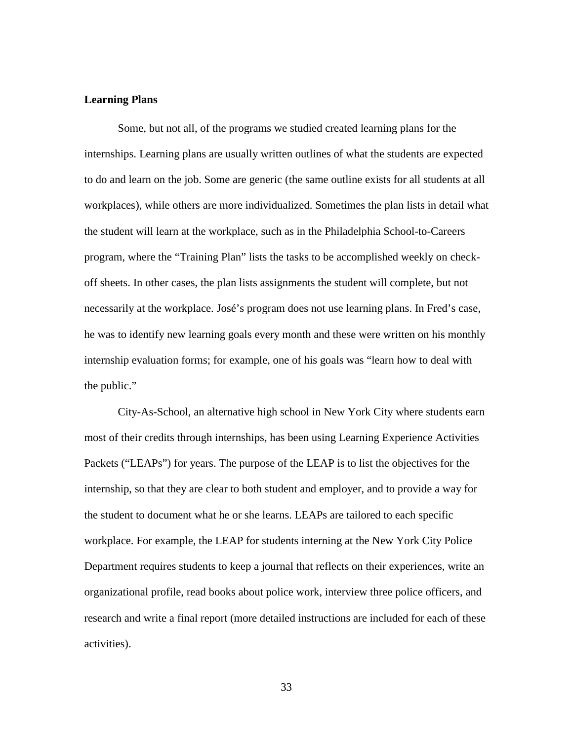# **Learning Plans**

Some, but not all, of the programs we studied created learning plans for the internships. Learning plans are usually written outlines of what the students are expected to do and learn on the job. Some are generic (the same outline exists for all students at all workplaces), while others are more individualized. Sometimes the plan lists in detail what the student will learn at the workplace, such as in the Philadelphia School-to-Careers program, where the "Training Plan" lists the tasks to be accomplished weekly on checkoff sheets. In other cases, the plan lists assignments the student will complete, but not necessarily at the workplace. José's program does not use learning plans. In Fred's case, he was to identify new learning goals every month and these were written on his monthly internship evaluation forms; for example, one of his goals was "learn how to deal with the public."

City-As-School, an alternative high school in New York City where students earn most of their credits through internships, has been using Learning Experience Activities Packets ("LEAPs") for years. The purpose of the LEAP is to list the objectives for the internship, so that they are clear to both student and employer, and to provide a way for the student to document what he or she learns. LEAPs are tailored to each specific workplace. For example, the LEAP for students interning at the New York City Police Department requires students to keep a journal that reflects on their experiences, write an organizational profile, read books about police work, interview three police officers, and research and write a final report (more detailed instructions are included for each of these activities).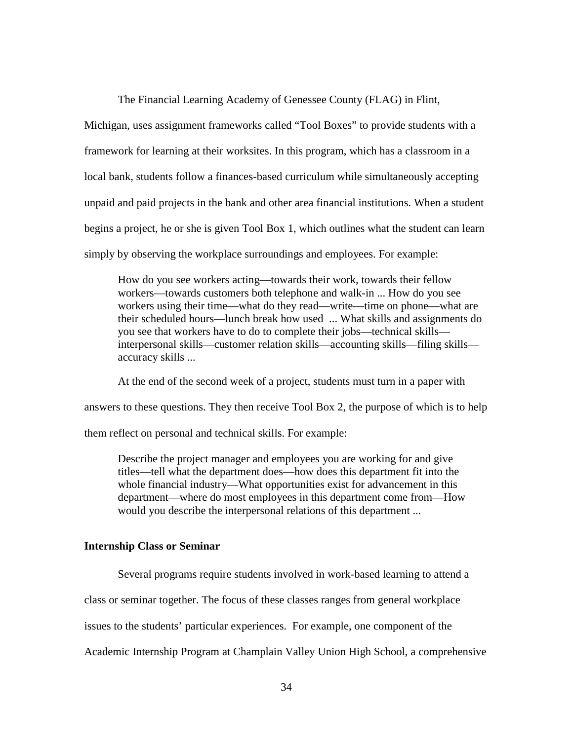The Financial Learning Academy of Genessee County (FLAG) in Flint,

Michigan, uses assignment frameworks called "Tool Boxes" to provide students with a framework for learning at their worksites. In this program, which has a classroom in a local bank, students follow a finances-based curriculum while simultaneously accepting unpaid and paid projects in the bank and other area financial institutions. When a student begins a project, he or she is given Tool Box 1, which outlines what the student can learn simply by observing the workplace surroundings and employees. For example:

How do you see workers acting—towards their work, towards their fellow workers—towards customers both telephone and walk-in ... How do you see workers using their time—what do they read—write—time on phone—what are their scheduled hours—lunch break how used ... What skills and assignments do you see that workers have to do to complete their jobs—technical skills interpersonal skills—customer relation skills—accounting skills—filing skills accuracy skills ...

At the end of the second week of a project, students must turn in a paper with answers to these questions. They then receive Tool Box 2, the purpose of which is to help them reflect on personal and technical skills. For example:

Describe the project manager and employees you are working for and give titles—tell what the department does—how does this department fit into the whole financial industry—What opportunities exist for advancement in this department—where do most employees in this department come from—How would you describe the interpersonal relations of this department ...

# **Internship Class or Seminar**

Several programs require students involved in work-based learning to attend a class or seminar together. The focus of these classes ranges from general workplace issues to the students' particular experiences. For example, one component of the Academic Internship Program at Champlain Valley Union High School, a comprehensive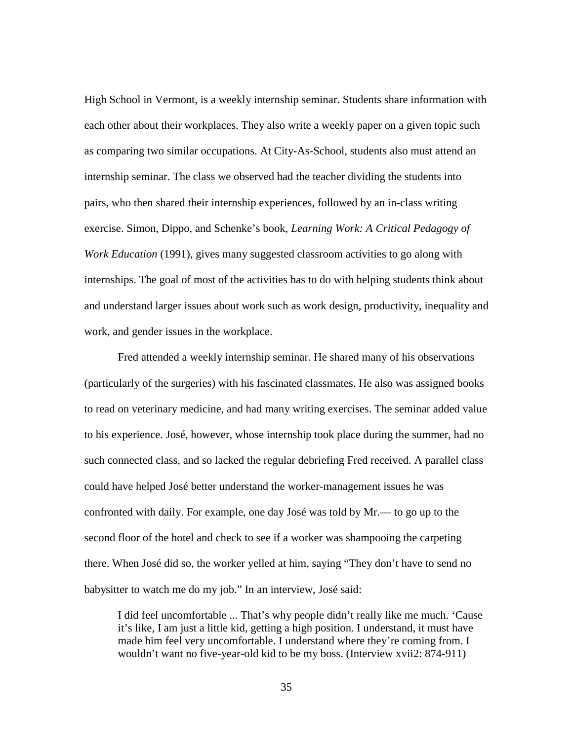High School in Vermont, is a weekly internship seminar. Students share information with each other about their workplaces. They also write a weekly paper on a given topic such as comparing two similar occupations. At City-As-School, students also must attend an internship seminar. The class we observed had the teacher dividing the students into pairs, who then shared their internship experiences, followed by an in-class writing exercise. Simon, Dippo, and Schenke's book, *Learning Work: A Critical Pedagogy of Work Education* (1991), gives many suggested classroom activities to go along with internships. The goal of most of the activities has to do with helping students think about and understand larger issues about work such as work design, productivity, inequality and work, and gender issues in the workplace.

Fred attended a weekly internship seminar. He shared many of his observations (particularly of the surgeries) with his fascinated classmates. He also was assigned books to read on veterinary medicine, and had many writing exercises. The seminar added value to his experience. José, however, whose internship took place during the summer, had no such connected class, and so lacked the regular debriefing Fred received. A parallel class could have helped José better understand the worker-management issues he was confronted with daily. For example, one day José was told by Mr.–– to go up to the second floor of the hotel and check to see if a worker was shampooing the carpeting there. When José did so, the worker yelled at him, saying "They don't have to send no babysitter to watch me do my job." In an interview, José said:

I did feel uncomfortable ... That's why people didn't really like me much. 'Cause it's like, I am just a little kid, getting a high position. I understand, it must have made him feel very uncomfortable. I understand where they're coming from. I wouldn't want no five-year-old kid to be my boss. (Interview xvii2: 874-911)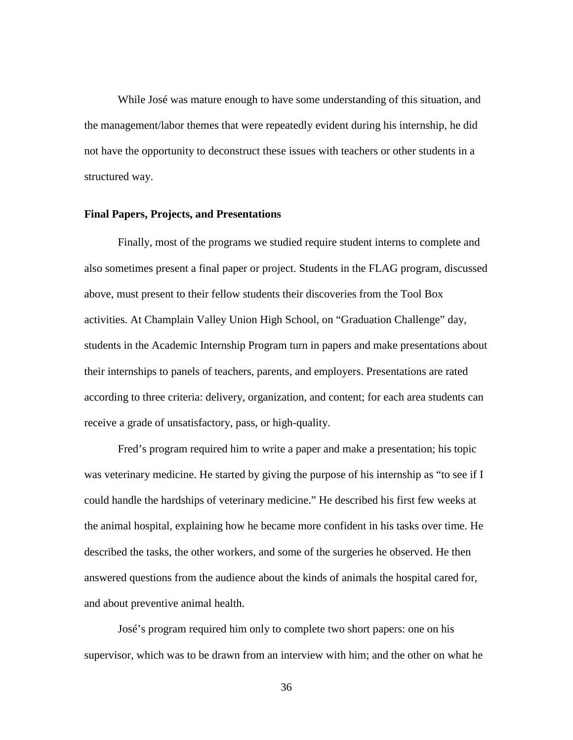While José was mature enough to have some understanding of this situation, and the management/labor themes that were repeatedly evident during his internship, he did not have the opportunity to deconstruct these issues with teachers or other students in a structured way.

#### **Final Papers, Projects, and Presentations**

Finally, most of the programs we studied require student interns to complete and also sometimes present a final paper or project. Students in the FLAG program, discussed above, must present to their fellow students their discoveries from the Tool Box activities. At Champlain Valley Union High School, on "Graduation Challenge" day, students in the Academic Internship Program turn in papers and make presentations about their internships to panels of teachers, parents, and employers. Presentations are rated according to three criteria: delivery, organization, and content; for each area students can receive a grade of unsatisfactory, pass, or high-quality.

Fred's program required him to write a paper and make a presentation; his topic was veterinary medicine. He started by giving the purpose of his internship as "to see if I could handle the hardships of veterinary medicine." He described his first few weeks at the animal hospital, explaining how he became more confident in his tasks over time. He described the tasks, the other workers, and some of the surgeries he observed. He then answered questions from the audience about the kinds of animals the hospital cared for, and about preventive animal health.

José's program required him only to complete two short papers: one on his supervisor, which was to be drawn from an interview with him; and the other on what he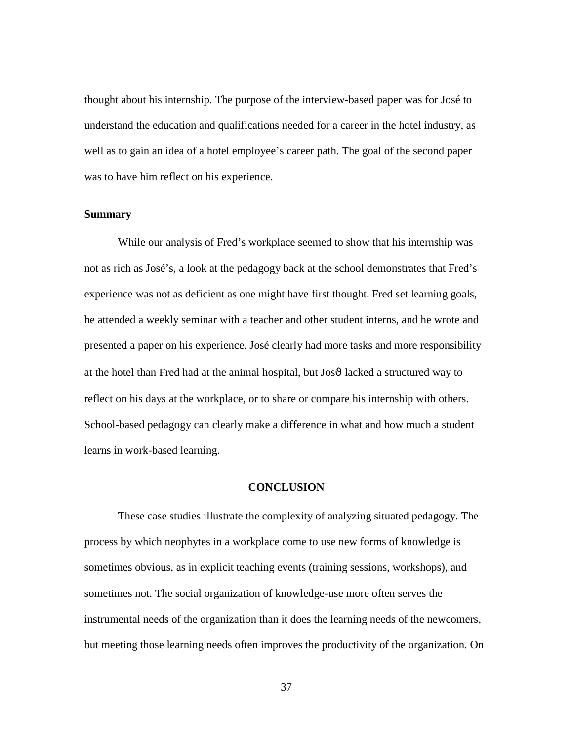thought about his internship. The purpose of the interview-based paper was for José to understand the education and qualifications needed for a career in the hotel industry, as well as to gain an idea of a hotel employee's career path. The goal of the second paper was to have him reflect on his experience.

## **Summary**

While our analysis of Fred's workplace seemed to show that his internship was not as rich as José's, a look at the pedagogy back at the school demonstrates that Fred's experience was not as deficient as one might have first thought. Fred set learning goals, he attended a weekly seminar with a teacher and other student interns, and he wrote and presented a paper on his experience. José clearly had more tasks and more responsibility at the hotel than Fred had at the animal hospital, but  $\text{Jos}\vartheta$  lacked a structured way to reflect on his days at the workplace, or to share or compare his internship with others. School-based pedagogy can clearly make a difference in what and how much a student learns in work-based learning.

## **CONCLUSION**

These case studies illustrate the complexity of analyzing situated pedagogy. The process by which neophytes in a workplace come to use new forms of knowledge is sometimes obvious, as in explicit teaching events (training sessions, workshops), and sometimes not. The social organization of knowledge-use more often serves the instrumental needs of the organization than it does the learning needs of the newcomers, but meeting those learning needs often improves the productivity of the organization. On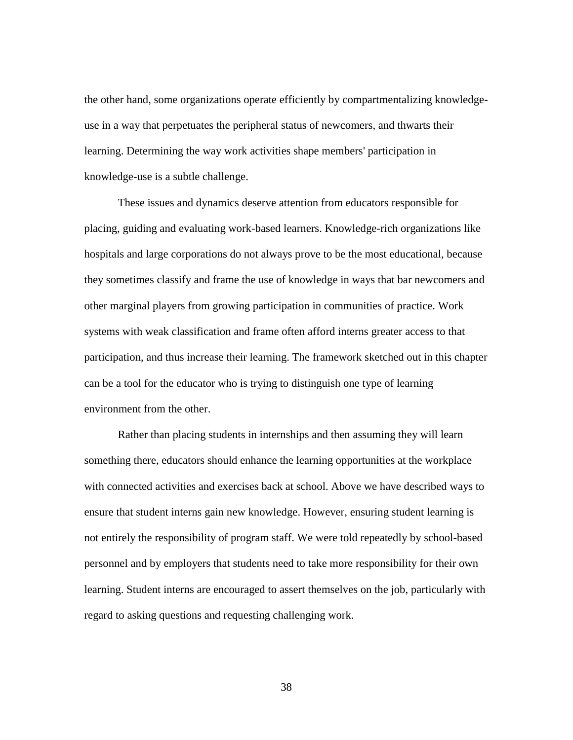the other hand, some organizations operate efficiently by compartmentalizing knowledgeuse in a way that perpetuates the peripheral status of newcomers, and thwarts their learning. Determining the way work activities shape members' participation in knowledge-use is a subtle challenge.

These issues and dynamics deserve attention from educators responsible for placing, guiding and evaluating work-based learners. Knowledge-rich organizations like hospitals and large corporations do not always prove to be the most educational, because they sometimes classify and frame the use of knowledge in ways that bar newcomers and other marginal players from growing participation in communities of practice. Work systems with weak classification and frame often afford interns greater access to that participation, and thus increase their learning. The framework sketched out in this chapter can be a tool for the educator who is trying to distinguish one type of learning environment from the other.

Rather than placing students in internships and then assuming they will learn something there, educators should enhance the learning opportunities at the workplace with connected activities and exercises back at school. Above we have described ways to ensure that student interns gain new knowledge. However, ensuring student learning is not entirely the responsibility of program staff. We were told repeatedly by school-based personnel and by employers that students need to take more responsibility for their own learning. Student interns are encouraged to assert themselves on the job, particularly with regard to asking questions and requesting challenging work.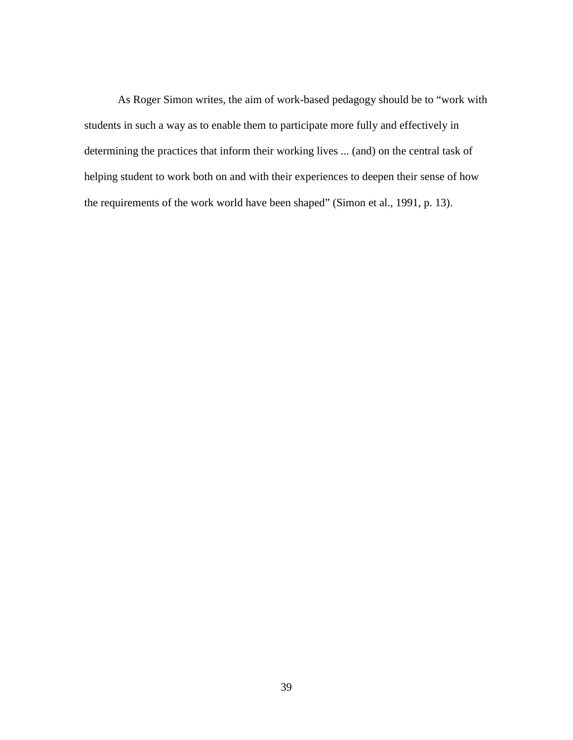As Roger Simon writes, the aim of work-based pedagogy should be to "work with students in such a way as to enable them to participate more fully and effectively in determining the practices that inform their working lives ... (and) on the central task of helping student to work both on and with their experiences to deepen their sense of how the requirements of the work world have been shaped" (Simon et al., 1991, p. 13).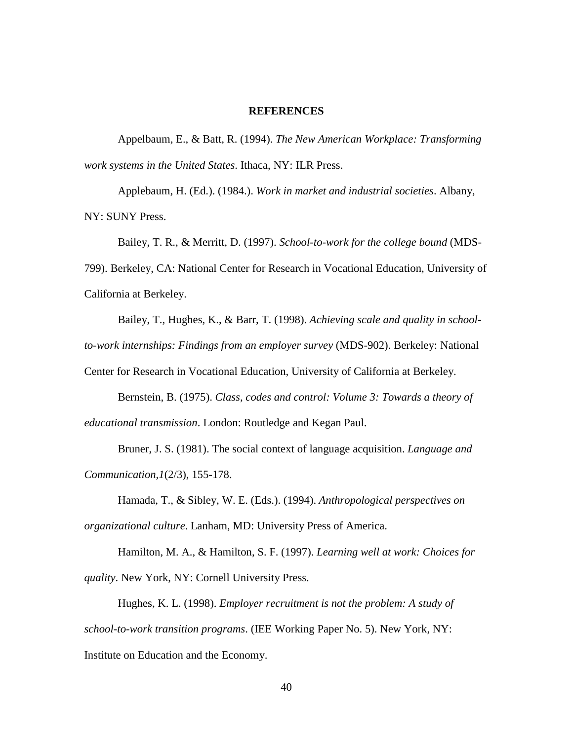#### **REFERENCES**

Appelbaum, E., & Batt, R. (1994). *The New American Workplace: Transforming work systems in the United States*. Ithaca, NY: ILR Press.

Applebaum, H. (Ed.). (1984.). *Work in market and industrial societies*. Albany, NY: SUNY Press.

Bailey, T. R., & Merritt, D. (1997). *School-to-work for the college bound* (MDS-799). Berkeley, CA: National Center for Research in Vocational Education, University of California at Berkeley.

Bailey, T., Hughes, K., & Barr, T. (1998). *Achieving scale and quality in schoolto-work internships: Findings from an employer survey* (MDS-902). Berkeley: National Center for Research in Vocational Education, University of California at Berkeley.

Bernstein, B. (1975). *Class, codes and control: Volume 3: Towards a theory of educational transmission*. London: Routledge and Kegan Paul.

Bruner, J. S. (1981). The social context of language acquisition. *Language and Communication,1*(2/3), 155-178.

Hamada, T., & Sibley, W. E. (Eds.). (1994). *Anthropological perspectives on organizational culture*. Lanham, MD: University Press of America.

Hamilton, M. A., & Hamilton, S. F. (1997). *Learning well at work: Choices for quality*. New York, NY: Cornell University Press.

Hughes, K. L. (1998). *Employer recruitment is not the problem: A study of school-to-work transition programs*. (IEE Working Paper No. 5). New York, NY: Institute on Education and the Economy.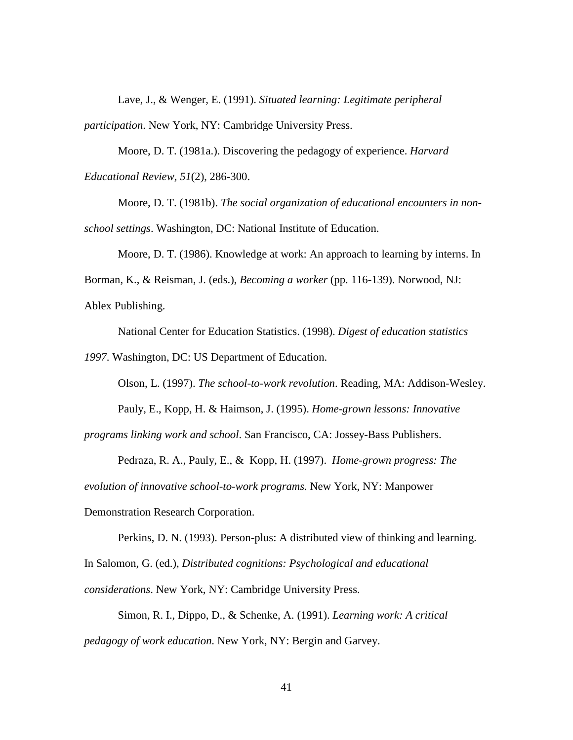Lave, J., & Wenger, E. (1991). *Situated learning: Legitimate peripheral*

*participation*. New York, NY: Cambridge University Press.

Moore, D. T. (1981a.). Discovering the pedagogy of experience. *Harvard Educational Review, 51*(2), 286-300.

Moore, D. T. (1981b). *The social organization of educational encounters in nonschool settings*. Washington, DC: National Institute of Education.

Moore, D. T. (1986). Knowledge at work: An approach to learning by interns. In

Borman, K., & Reisman, J. (eds.), *Becoming a worker* (pp. 116-139). Norwood, NJ:

Ablex Publishing.

National Center for Education Statistics. (1998). *Digest of education statistics*

*1997*. Washington, DC: US Department of Education.

Olson, L. (1997). *The school-to-work revolution*. Reading, MA: Addison-Wesley.

Pauly, E., Kopp, H. & Haimson, J. (1995). *Home-grown lessons: Innovative*

*programs linking work and school*. San Francisco, CA: Jossey-Bass Publishers.

Pedraza, R. A., Pauly, E., & Kopp, H. (1997). *Home-grown progress: The*

*evolution of innovative school-to-work programs.* New York, NY: Manpower

Demonstration Research Corporation.

Perkins, D. N. (1993). Person-plus: A distributed view of thinking and learning.

In Salomon, G. (ed.), *Distributed cognitions: Psychological and educational*

*considerations*. New York, NY: Cambridge University Press.

Simon, R. I., Dippo, D., & Schenke, A. (1991). *Learning work: A critical pedagogy of work education*. New York, NY: Bergin and Garvey.